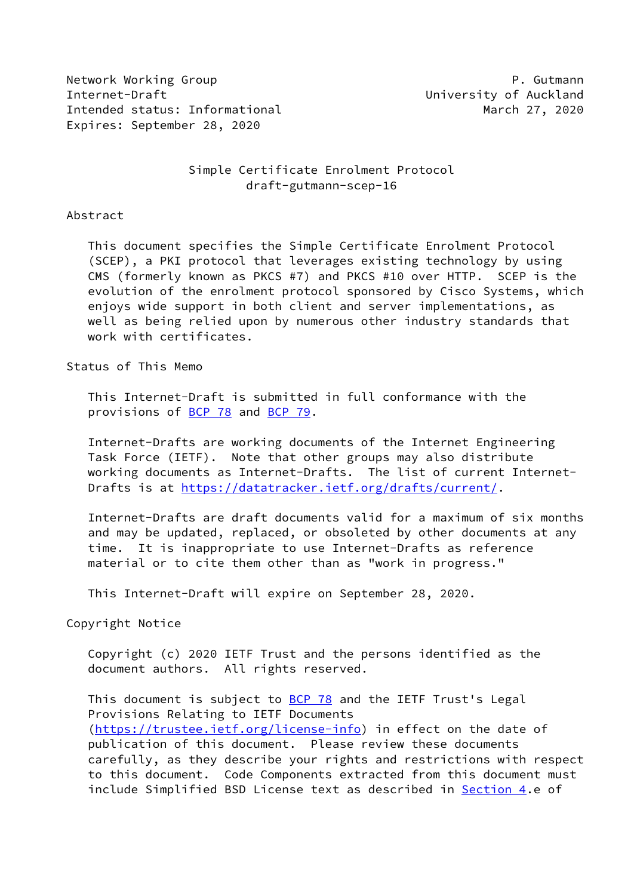Network Working Group **P. Gutmann** Internet-Draft University of Auckland Intended status: Informational March 27, 2020 Expires: September 28, 2020

# Simple Certificate Enrolment Protocol draft-gutmann-scep-16

## Abstract

 This document specifies the Simple Certificate Enrolment Protocol (SCEP), a PKI protocol that leverages existing technology by using CMS (formerly known as PKCS #7) and PKCS #10 over HTTP. SCEP is the evolution of the enrolment protocol sponsored by Cisco Systems, which enjoys wide support in both client and server implementations, as well as being relied upon by numerous other industry standards that work with certificates.

Status of This Memo

 This Internet-Draft is submitted in full conformance with the provisions of [BCP 78](https://datatracker.ietf.org/doc/pdf/bcp78) and [BCP 79](https://datatracker.ietf.org/doc/pdf/bcp79).

 Internet-Drafts are working documents of the Internet Engineering Task Force (IETF). Note that other groups may also distribute working documents as Internet-Drafts. The list of current Internet- Drafts is at<https://datatracker.ietf.org/drafts/current/>.

 Internet-Drafts are draft documents valid for a maximum of six months and may be updated, replaced, or obsoleted by other documents at any time. It is inappropriate to use Internet-Drafts as reference material or to cite them other than as "work in progress."

This Internet-Draft will expire on September 28, 2020.

Copyright Notice

 Copyright (c) 2020 IETF Trust and the persons identified as the document authors. All rights reserved.

This document is subject to **[BCP 78](https://datatracker.ietf.org/doc/pdf/bcp78)** and the IETF Trust's Legal Provisions Relating to IETF Documents [\(https://trustee.ietf.org/license-info](https://trustee.ietf.org/license-info)) in effect on the date of publication of this document. Please review these documents carefully, as they describe your rights and restrictions with respect to this document. Code Components extracted from this document must include Simplified BSD License text as described in [Section 4.](#page-27-0)e of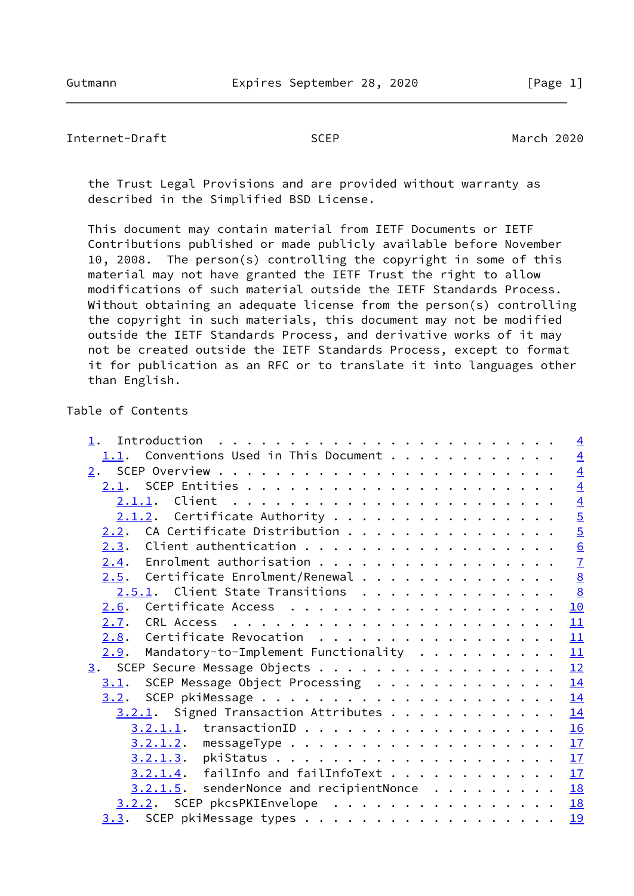# Internet-Draft SCEP March 2020

 the Trust Legal Provisions and are provided without warranty as described in the Simplified BSD License.

 This document may contain material from IETF Documents or IETF Contributions published or made publicly available before November 10, 2008. The person(s) controlling the copyright in some of this material may not have granted the IETF Trust the right to allow modifications of such material outside the IETF Standards Process. Without obtaining an adequate license from the person(s) controlling the copyright in such materials, this document may not be modified outside the IETF Standards Process, and derivative works of it may not be created outside the IETF Standards Process, except to format it for publication as an RFC or to translate it into languages other than English.

# Table of Contents

|                                              | $\overline{4}$ |
|----------------------------------------------|----------------|
| $1.1.$ Conventions Used in This Document     | $\overline{4}$ |
|                                              | $\overline{4}$ |
|                                              | $\overline{4}$ |
|                                              | $\overline{4}$ |
| $2.1.2$ . Certificate Authority              | $\overline{5}$ |
| $2.2.$ CA Certificate Distribution           | $\overline{5}$ |
|                                              | 6              |
| $2.4$ . Enrolment authorisation              | $\overline{1}$ |
| Certificate Enrolment/Renewal<br>2.5.        | 8              |
| 2.5.1. Client State Transitions              | 8              |
| 2.6.                                         | 10             |
| 2.7.                                         | 11             |
| Certificate Revocation<br>2.8.               | 11             |
| Mandatory-to-Implement Functionality<br>2.9. | 11             |
| 3. SCEP Secure Message Objects               | 12             |
| SCEP Message Object Processing<br>3.1.       | 14             |
| 3.2.                                         | 14             |
| $3.2.1$ . Signed Transaction Attributes      | 14             |
| 3.2.1.1.                                     | 16             |
|                                              |                |
| 3.2.1.2.                                     | 17             |
|                                              | 17             |
| failInfo and failInfoText<br>3.2.1.4.        | 17             |
| $3.2.1.5$ . senderNonce and recipientNonce   | 18             |
| 3.2.2. SCEP pkcsPKIEnvelope                  | 18             |
|                                              | 19             |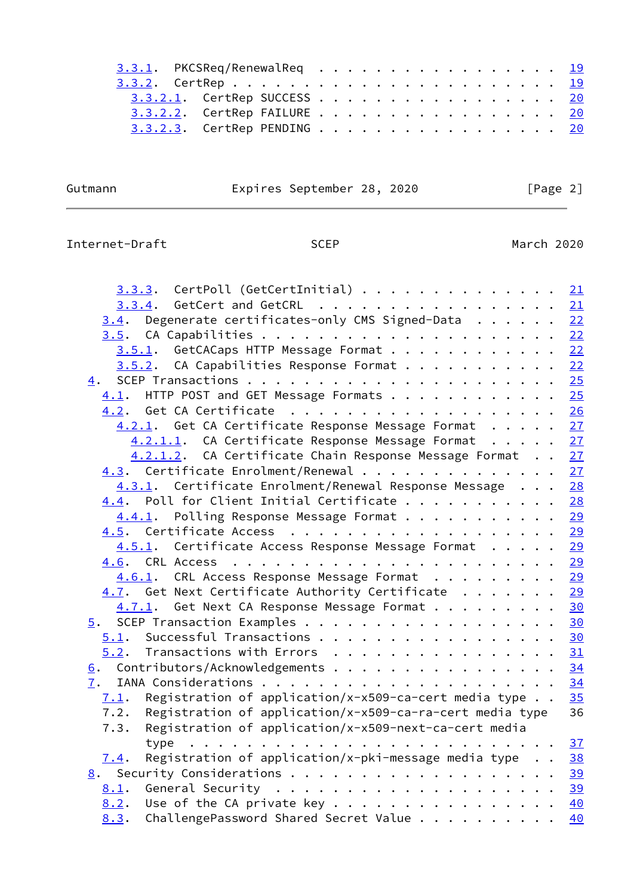| $3.3.1$ . PKCSReq/RenewalReq 19 |  |  |  |  |  |  |  |  |  |  |  |  |
|---------------------------------|--|--|--|--|--|--|--|--|--|--|--|--|
|                                 |  |  |  |  |  |  |  |  |  |  |  |  |
| 3.3.2.1. CertRep SUCCESS 20     |  |  |  |  |  |  |  |  |  |  |  |  |
| 3.3.2.2. CertRep FAILURE 20     |  |  |  |  |  |  |  |  |  |  |  |  |
| 3.3.2.3. CertRep PENDING 20     |  |  |  |  |  |  |  |  |  |  |  |  |
|                                 |  |  |  |  |  |  |  |  |  |  |  |  |

Gutmann **Expires September 28, 2020** [Page 2]

# Internet-Draft SCEP SCEP March 2020

| <u>3.3.3</u> . CertPoll (GetCertInitial)                                  | 21 |
|---------------------------------------------------------------------------|----|
| 3.3.4. GetCert and GetCRL 21                                              |    |
| $3.4$ . Degenerate certificates-only CMS Signed-Data 22                   |    |
|                                                                           |    |
| 3.5.1. GetCACaps HTTP Message Format 22                                   |    |
| 3.5.2. CA Capabilities Response Format 22                                 |    |
| 4.                                                                        |    |
| HTTP POST and GET Message Formats 25<br>4.1.                              |    |
| 4.2. Get CA Certificate 26                                                |    |
| 4.2.1. Get CA Certificate Response Message Format 27                      |    |
| 4.2.1.1. CA Certificate Response Message Format 27                        |    |
| 4.2.1.2. CA Certificate Chain Response Message Format 27                  |    |
| 4.3. Certificate Enrolment/Renewal 27                                     |    |
| 4.3.1. Certificate Enrolment/Renewal Response Message                     | 28 |
| 4.4. Poll for Client Initial Certificate 28                               |    |
| 4.4.1. Polling Response Message Format 29                                 |    |
|                                                                           |    |
| 4.5.1. Certificate Access Response Message Format 29                      |    |
|                                                                           |    |
| 4.6.1. CRL Access Response Message Format 29                              |    |
| 4.7. Get Next Certificate Authority Certificate 29                        |    |
| 4.7.1. Get Next CA Response Message Format 30                             |    |
| 5. SCEP Transaction Examples 30                                           |    |
| $5.1$ . Successful Transactions 30                                        |    |
| 5.2. Transactions with Errors                                             | 31 |
|                                                                           | 34 |
|                                                                           | 34 |
| Registration of application/x-x509-ca-cert media type $\ldots$<br>7.1.    | 35 |
| Registration of application/x-x509-ca-ra-cert media type<br>7.2.          | 36 |
| Registration of application/x-x509-next-ca-cert media<br>7.3.             |    |
|                                                                           |    |
| Registration of application/x-pki-message media type $\cdot$ . 38<br>7.4. |    |
| 8. Security Considerations 39                                             |    |
| 8.1.                                                                      |    |
| $8.2$ . Use of the CA private key 40                                      |    |
| 8.3. ChallengePassword Shared Secret Value                                | 40 |
|                                                                           |    |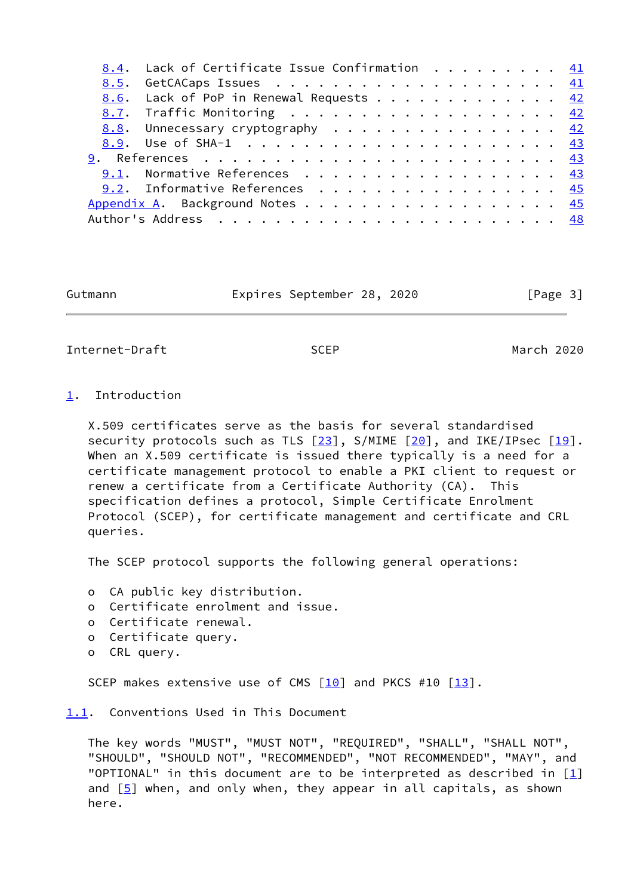| 8.4. Lack of Certificate Issue Confirmation 41 |  |
|------------------------------------------------|--|
|                                                |  |
| 8.6. Lack of PoP in Renewal Requests 42        |  |
| 8.7. Traffic Monitoring 42                     |  |
| 8.8. Unnecessary cryptography 42               |  |
|                                                |  |
| <u> 9</u> . References <u>43</u>               |  |
| 9.1. Normative References 43                   |  |
| 9.2. Informative References 45                 |  |
| Appendix A. Background Notes 45                |  |
|                                                |  |

Gutmann Expires September 28, 2020 [Page 3]

<span id="page-3-1"></span>Internet-Draft SCEP March 2020

## <span id="page-3-0"></span>[1](#page-3-0). Introduction

 X.509 certificates serve as the basis for several standardised security protocols such as TLS  $[23]$  $[23]$ , S/MIME  $[20]$ , and IKE/IPsec  $[19]$ . When an X.509 certificate is issued there typically is a need for a certificate management protocol to enable a PKI client to request or renew a certificate from a Certificate Authority (CA). This specification defines a protocol, Simple Certificate Enrolment Protocol (SCEP), for certificate management and certificate and CRL queries.

The SCEP protocol supports the following general operations:

o CA public key distribution.

- o Certificate enrolment and issue.
- o Certificate renewal.
- o Certificate query.
- o CRL query.

SCEP makes extensive use of CMS  $[10]$  and PKCS #10  $[13]$  $[13]$ .

<span id="page-3-2"></span>[1.1](#page-3-2). Conventions Used in This Document

 The key words "MUST", "MUST NOT", "REQUIRED", "SHALL", "SHALL NOT", "SHOULD", "SHOULD NOT", "RECOMMENDED", "NOT RECOMMENDED", "MAY", and "OPTIONAL" in this document are to be interpreted as described in  $[1]$  $[1]$ and  $[5]$  $[5]$  when, and only when, they appear in all capitals, as shown here.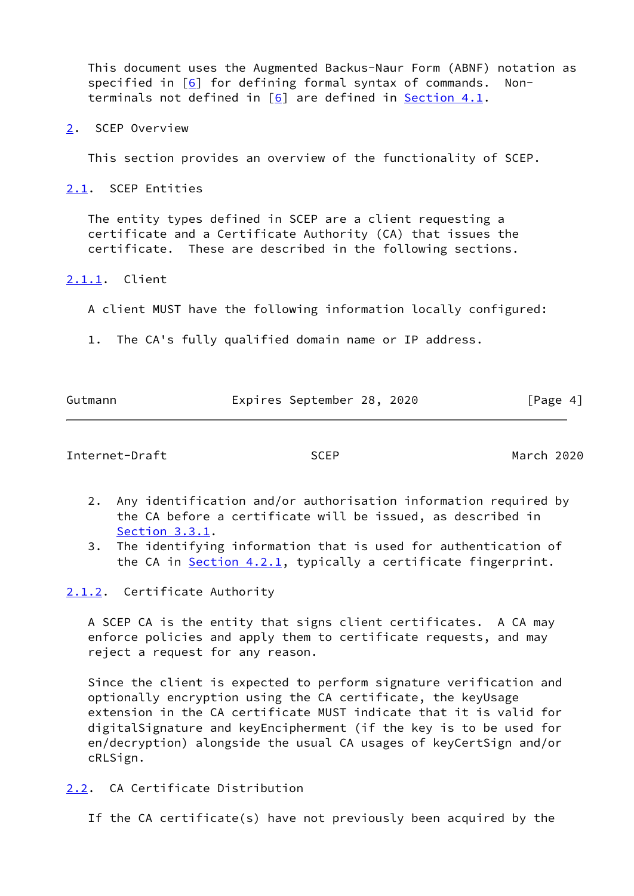This document uses the Augmented Backus-Naur Form (ABNF) notation as specified in  $[6]$  for defining formal syntax of commands. Nonterminals not defined in [\[6\]](#page-49-3) are defined in [Section 4.1.](#page-27-2)

<span id="page-4-0"></span>[2](#page-4-0). SCEP Overview

This section provides an overview of the functionality of SCEP.

<span id="page-4-1"></span>[2.1](#page-4-1). SCEP Entities

 The entity types defined in SCEP are a client requesting a certificate and a Certificate Authority (CA) that issues the certificate. These are described in the following sections.

## <span id="page-4-2"></span>[2.1.1](#page-4-2). Client

A client MUST have the following information locally configured:

1. The CA's fully qualified domain name or IP address.

Gutmann Expires September 28, 2020 [Page 4]

<span id="page-4-4"></span>Internet-Draft SCEP March 2020

- 2. Any identification and/or authorisation information required by the CA before a certificate will be issued, as described in [Section 3.3.1.](#page-20-3)
- 3. The identifying information that is used for authentication of the CA in [Section 4.2.1,](#page-29-1) typically a certificate fingerprint.

<span id="page-4-3"></span>[2.1.2](#page-4-3). Certificate Authority

 A SCEP CA is the entity that signs client certificates. A CA may enforce policies and apply them to certificate requests, and may reject a request for any reason.

 Since the client is expected to perform signature verification and optionally encryption using the CA certificate, the keyUsage extension in the CA certificate MUST indicate that it is valid for digitalSignature and keyEncipherment (if the key is to be used for en/decryption) alongside the usual CA usages of keyCertSign and/or cRLSign.

<span id="page-4-5"></span>[2.2](#page-4-5). CA Certificate Distribution

If the CA certificate(s) have not previously been acquired by the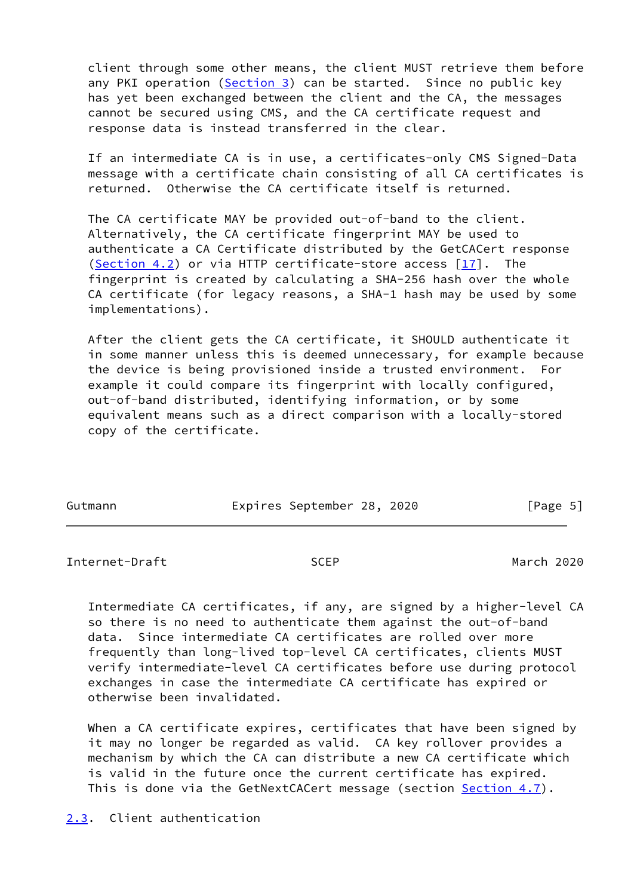client through some other means, the client MUST retrieve them before any PKI operation ([Section 3\)](#page-12-2) can be started. Since no public key has yet been exchanged between the client and the CA, the messages cannot be secured using CMS, and the CA certificate request and response data is instead transferred in the clear.

 If an intermediate CA is in use, a certificates-only CMS Signed-Data message with a certificate chain consisting of all CA certificates is returned. Otherwise the CA certificate itself is returned.

 The CA certificate MAY be provided out-of-band to the client. Alternatively, the CA certificate fingerprint MAY be used to authenticate a CA Certificate distributed by the GetCACert response [\(Section 4.2](#page-29-0)) or via HTTP certificate-store access [[17\]](#page-50-6). The fingerprint is created by calculating a SHA-256 hash over the whole CA certificate (for legacy reasons, a SHA-1 hash may be used by some implementations).

 After the client gets the CA certificate, it SHOULD authenticate it in some manner unless this is deemed unnecessary, for example because the device is being provisioned inside a trusted environment. For example it could compare its fingerprint with locally configured, out-of-band distributed, identifying information, or by some equivalent means such as a direct comparison with a locally-stored copy of the certificate.

| Gutmann | Expires September 28, 2020 |  | [Page 5] |
|---------|----------------------------|--|----------|

<span id="page-5-1"></span>Internet-Draft SCEP March 2020

 Intermediate CA certificates, if any, are signed by a higher-level CA so there is no need to authenticate them against the out-of-band data. Since intermediate CA certificates are rolled over more frequently than long-lived top-level CA certificates, clients MUST verify intermediate-level CA certificates before use during protocol exchanges in case the intermediate CA certificate has expired or otherwise been invalidated.

 When a CA certificate expires, certificates that have been signed by it may no longer be regarded as valid. CA key rollover provides a mechanism by which the CA can distribute a new CA certificate which is valid in the future once the current certificate has expired. This is done via the GetNextCACert message (section [Section 4.7\)](#page-32-5).

<span id="page-5-0"></span>[2.3](#page-5-0). Client authentication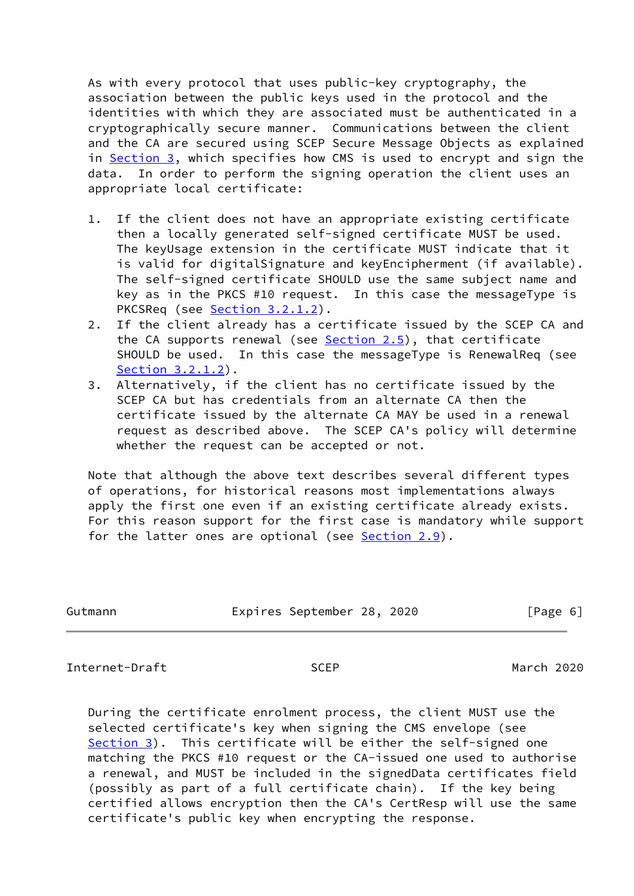As with every protocol that uses public-key cryptography, the association between the public keys used in the protocol and the identities with which they are associated must be authenticated in a cryptographically secure manner. Communications between the client and the CA are secured using SCEP Secure Message Objects as explained in [Section 3,](#page-12-2) which specifies how CMS is used to encrypt and sign the data. In order to perform the signing operation the client uses an appropriate local certificate:

- 1. If the client does not have an appropriate existing certificate then a locally generated self-signed certificate MUST be used. The keyUsage extension in the certificate MUST indicate that it is valid for digitalSignature and keyEncipherment (if available). The self-signed certificate SHOULD use the same subject name and key as in the PKCS #10 request. In this case the messageType is PKCSReq (see [Section 3.2.1.2](#page-18-0)).
- 2. If the client already has a certificate issued by the SCEP CA and the CA supports renewal (see [Section 2.5](#page-8-0)), that certificate SHOULD be used. In this case the messageType is RenewalReq (see [Section 3.2.1.2\)](#page-18-0).
- 3. Alternatively, if the client has no certificate issued by the SCEP CA but has credentials from an alternate CA then the certificate issued by the alternate CA MAY be used in a renewal request as described above. The SCEP CA's policy will determine whether the request can be accepted or not.

 Note that although the above text describes several different types of operations, for historical reasons most implementations always apply the first one even if an existing certificate already exists. For this reason support for the first case is mandatory while support for the latter ones are optional (see [Section 2.9](#page-12-1)).

| Gutmann | Expires September 28, 2020 | [Page 6] |
|---------|----------------------------|----------|
|         |                            |          |

<span id="page-6-0"></span>Internet-Draft SCEP March 2020

 During the certificate enrolment process, the client MUST use the selected certificate's key when signing the CMS envelope (see [Section 3](#page-12-2)). This certificate will be either the self-signed one matching the PKCS #10 request or the CA-issued one used to authorise a renewal, and MUST be included in the signedData certificates field (possibly as part of a full certificate chain). If the key being certified allows encryption then the CA's CertResp will use the same certificate's public key when encrypting the response.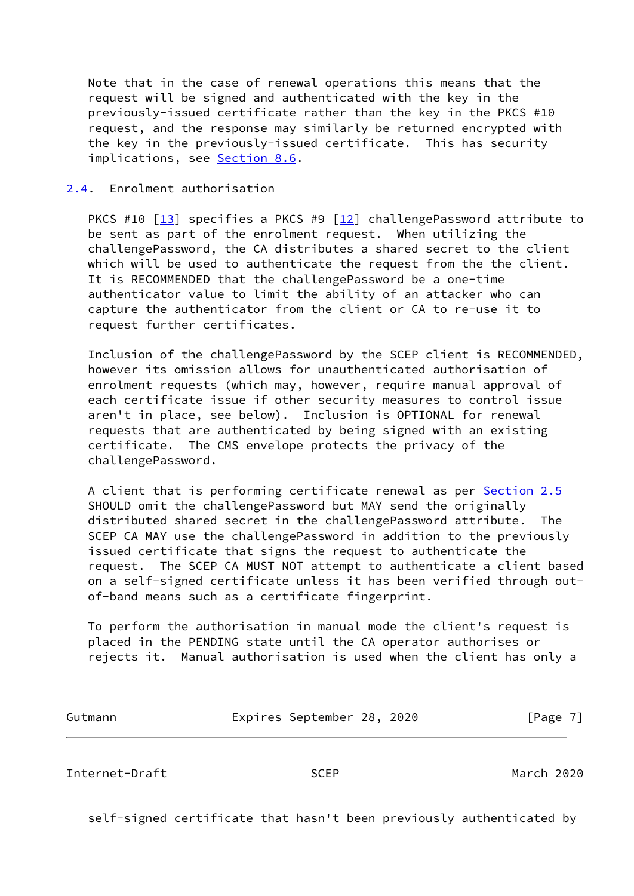Note that in the case of renewal operations this means that the request will be signed and authenticated with the key in the previously-issued certificate rather than the key in the PKCS #10 request, and the response may similarly be returned encrypted with the key in the previously-issued certificate. This has security implications, see [Section 8.6](#page-46-0).

## <span id="page-7-0"></span>[2.4](#page-7-0). Enrolment authorisation

PKCS #10  $\lceil 13 \rceil$  specifies a PKCS #9  $\lceil 12 \rceil$  challengePassword attribute to be sent as part of the enrolment request. When utilizing the challengePassword, the CA distributes a shared secret to the client which will be used to authenticate the request from the the client. It is RECOMMENDED that the challengePassword be a one-time authenticator value to limit the ability of an attacker who can capture the authenticator from the client or CA to re-use it to request further certificates.

 Inclusion of the challengePassword by the SCEP client is RECOMMENDED, however its omission allows for unauthenticated authorisation of enrolment requests (which may, however, require manual approval of each certificate issue if other security measures to control issue aren't in place, see below). Inclusion is OPTIONAL for renewal requests that are authenticated by being signed with an existing certificate. The CMS envelope protects the privacy of the challengePassword.

 A client that is performing certificate renewal as per [Section 2.5](#page-8-0) SHOULD omit the challengePassword but MAY send the originally distributed shared secret in the challengePassword attribute. The SCEP CA MAY use the challengePassword in addition to the previously issued certificate that signs the request to authenticate the request. The SCEP CA MUST NOT attempt to authenticate a client based on a self-signed certificate unless it has been verified through out of-band means such as a certificate fingerprint.

 To perform the authorisation in manual mode the client's request is placed in the PENDING state until the CA operator authorises or rejects it. Manual authorisation is used when the client has only a

| Gutmann | Expires September 28, 2020 |  | [Page 7] |  |
|---------|----------------------------|--|----------|--|
|         |                            |  |          |  |

<span id="page-7-1"></span>Internet-Draft SCEP March 2020

self-signed certificate that hasn't been previously authenticated by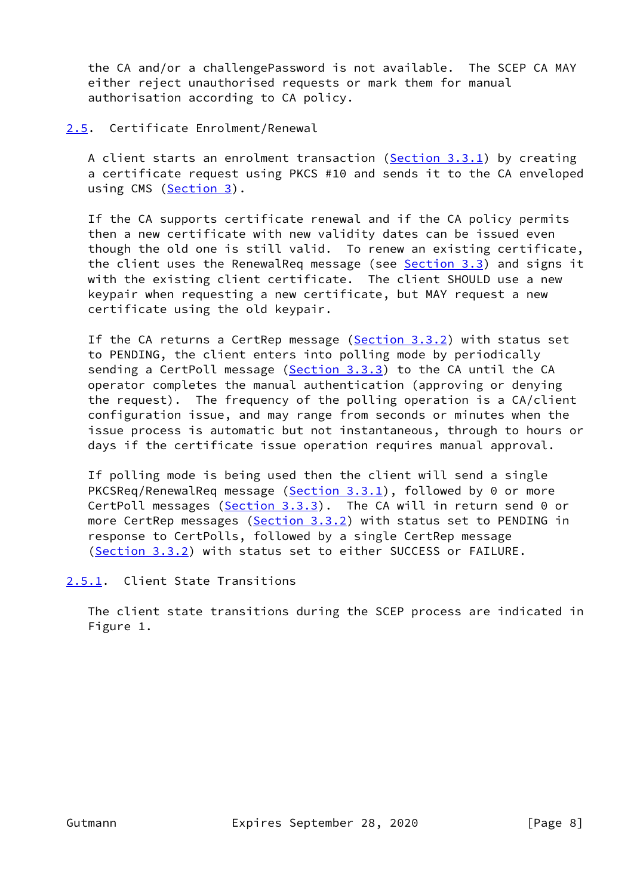the CA and/or a challengePassword is not available. The SCEP CA MAY either reject unauthorised requests or mark them for manual authorisation according to CA policy.

# <span id="page-8-0"></span>[2.5](#page-8-0). Certificate Enrolment/Renewal

 A client starts an enrolment transaction [\(Section 3.3.1\)](#page-20-3) by creating a certificate request using PKCS #10 and sends it to the CA enveloped using CMS ([Section 3\)](#page-12-2).

 If the CA supports certificate renewal and if the CA policy permits then a new certificate with new validity dates can be issued even though the old one is still valid. To renew an existing certificate, the client uses the RenewalReq message (see [Section 3.3\)](#page-20-1) and signs it with the existing client certificate. The client SHOULD use a new keypair when requesting a new certificate, but MAY request a new certificate using the old keypair.

 If the CA returns a CertRep message [\(Section 3.3.2](#page-21-0)) with status set to PENDING, the client enters into polling mode by periodically sending a CertPoll message ([Section 3.3.3\)](#page-22-2) to the CA until the CA operator completes the manual authentication (approving or denying the request). The frequency of the polling operation is a CA/client configuration issue, and may range from seconds or minutes when the issue process is automatic but not instantaneous, through to hours or days if the certificate issue operation requires manual approval.

 If polling mode is being used then the client will send a single PKCSReq/RenewalReq message ([Section 3.3.1\)](#page-20-3), followed by 0 or more CertPoll messages (Section  $3.3.3$ ). The CA will in return send 0 or more CertRep messages ([Section 3.3.2\)](#page-21-0) with status set to PENDING in response to CertPolls, followed by a single CertRep message [\(Section 3.3.2](#page-21-0)) with status set to either SUCCESS or FAILURE.

<span id="page-8-1"></span>[2.5.1](#page-8-1). Client State Transitions

 The client state transitions during the SCEP process are indicated in Figure 1.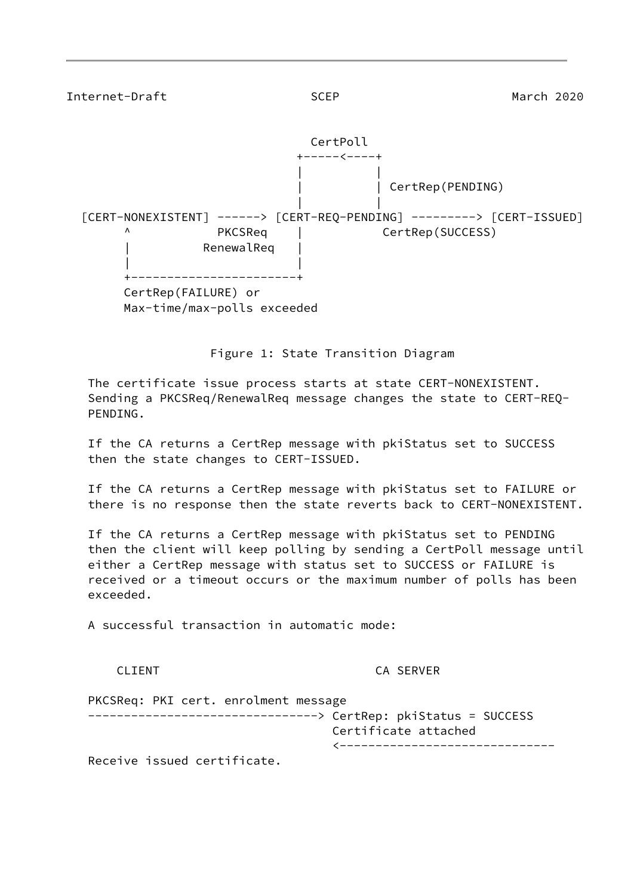| Internet-Draft                                                                                                      | <b>SCEP</b>              | March 2020       |
|---------------------------------------------------------------------------------------------------------------------|--------------------------|------------------|
|                                                                                                                     | CertPoll<br>+-----<----+ |                  |
|                                                                                                                     |                          | CertRep(PENDING) |
| [CERT-NONEXISTENT] -----> [CERT-REQ-PENDING] --------> [CERT-ISSUED]<br>Λ<br>PKCSReq<br>RenewalReq<br>------------- |                          | CertRep(SUCCESS) |
| CertRep(FAILURE) or<br>Max-time/max-polls exceeded                                                                  |                          |                  |

Figure 1: State Transition Diagram

 The certificate issue process starts at state CERT-NONEXISTENT. Sending a PKCSReq/RenewalReq message changes the state to CERT-REQ- PENDING.

 If the CA returns a CertRep message with pkiStatus set to SUCCESS then the state changes to CERT-ISSUED.

 If the CA returns a CertRep message with pkiStatus set to FAILURE or there is no response then the state reverts back to CERT-NONEXISTENT.

 If the CA returns a CertRep message with pkiStatus set to PENDING then the client will keep polling by sending a CertPoll message until either a CertRep message with status set to SUCCESS or FAILURE is received or a timeout occurs or the maximum number of polls has been exceeded.

A successful transaction in automatic mode:

CLIENT CA SERVER

 PKCSReq: PKI cert. enrolment message --------------------------------> CertRep: pkiStatus = SUCCESS Certificate attached <------------------------------ Receive issued certificate.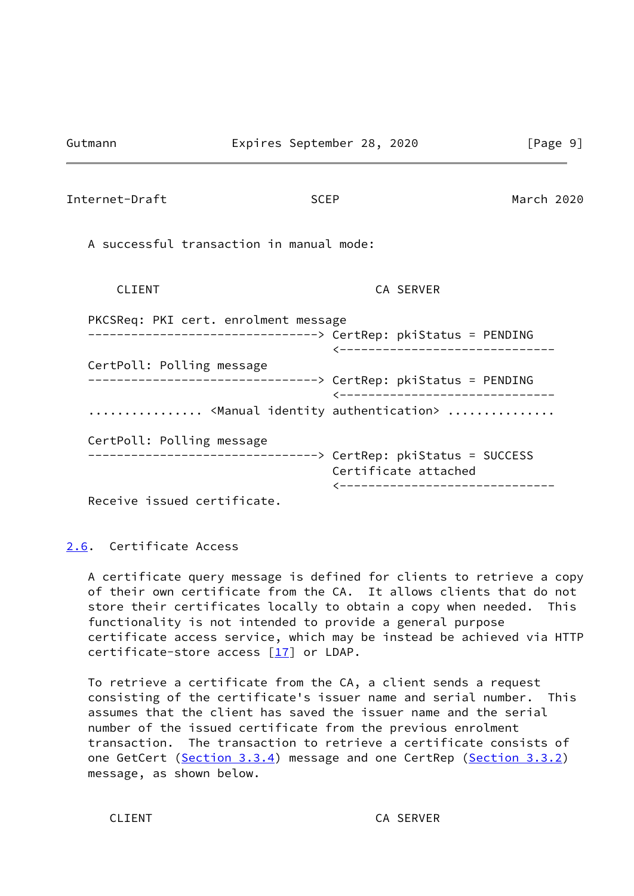<span id="page-10-1"></span>

| Internet-Draft                                                    | <b>SCEP</b>                                                                                                                                                                                                                                                  | March 2020 |
|-------------------------------------------------------------------|--------------------------------------------------------------------------------------------------------------------------------------------------------------------------------------------------------------------------------------------------------------|------------|
| A successful transaction in manual mode:                          |                                                                                                                                                                                                                                                              |            |
| <b>CLIENT</b>                                                     | CA SERVER                                                                                                                                                                                                                                                    |            |
| PKCSReq: PKI cert. enrolment message<br>CertPoll: Polling message | --------------------------------> CertRep: pkiStatus = PENDING<br><-------------------------------<br>--------------------------------> CertRep: pkiStatus = PENDING<br>________________________________<br><manual authentication="" identity=""> </manual> |            |
| CertPoll: Polling message<br>$D_{0}$                              | --------------------------------> CertRep: pkiStatus = SUCCESS<br>Certificate attached<br>-------------------------------                                                                                                                                    |            |

Receive issued certificate.

<span id="page-10-0"></span>[2.6](#page-10-0). Certificate Access

 A certificate query message is defined for clients to retrieve a copy of their own certificate from the CA. It allows clients that do not store their certificates locally to obtain a copy when needed. This functionality is not intended to provide a general purpose certificate access service, which may be instead be achieved via HTTP certificate-store access [\[17\]](#page-50-6) or LDAP.

 To retrieve a certificate from the CA, a client sends a request consisting of the certificate's issuer name and serial number. This assumes that the client has saved the issuer name and the serial number of the issued certificate from the previous enrolment transaction. The transaction to retrieve a certificate consists of one GetCert [\(Section 3.3.4](#page-23-0)) message and one CertRep [\(Section 3.3.2](#page-21-0)) message, as shown below.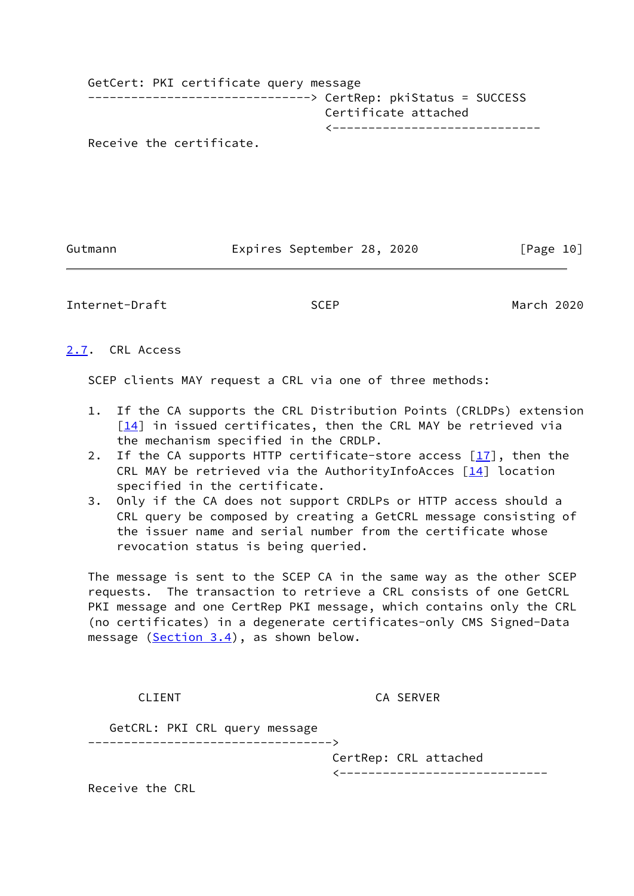| GetCert: PKI certificate query message |  |
|----------------------------------------|--|
|                                        |  |
| Certificate attached                   |  |
| _____________________________          |  |
| Receive the certificate.               |  |

Gutmann **Expires September 28, 2020** [Page 10]

<span id="page-11-1"></span>Internet-Draft SCEP March 2020

<span id="page-11-0"></span>[2.7](#page-11-0). CRL Access

SCEP clients MAY request a CRL via one of three methods:

- 1. If the CA supports the CRL Distribution Points (CRLDPs) extension  $[14]$  in issued certificates, then the CRL MAY be retrieved via the mechanism specified in the CRDLP.
- 2. If the CA supports HTTP certificate-store access [\[17\]](#page-50-6), then the CRL MAY be retrieved via the AuthorityInfoAcces  $[14]$  location specified in the certificate.
- 3. Only if the CA does not support CRDLPs or HTTP access should a CRL query be composed by creating a GetCRL message consisting of the issuer name and serial number from the certificate whose revocation status is being queried.

 The message is sent to the SCEP CA in the same way as the other SCEP requests. The transaction to retrieve a CRL consists of one GetCRL PKI message and one CertRep PKI message, which contains only the CRL (no certificates) in a degenerate certificates-only CMS Signed-Data message  $(Section 3.4)$  $(Section 3.4)$ , as shown below.

CLIENT CA SERVER

 GetCRL: PKI CRL query message ---------------------------------->

CertRep: CRL attached

<-----------------------------

Receive the CRL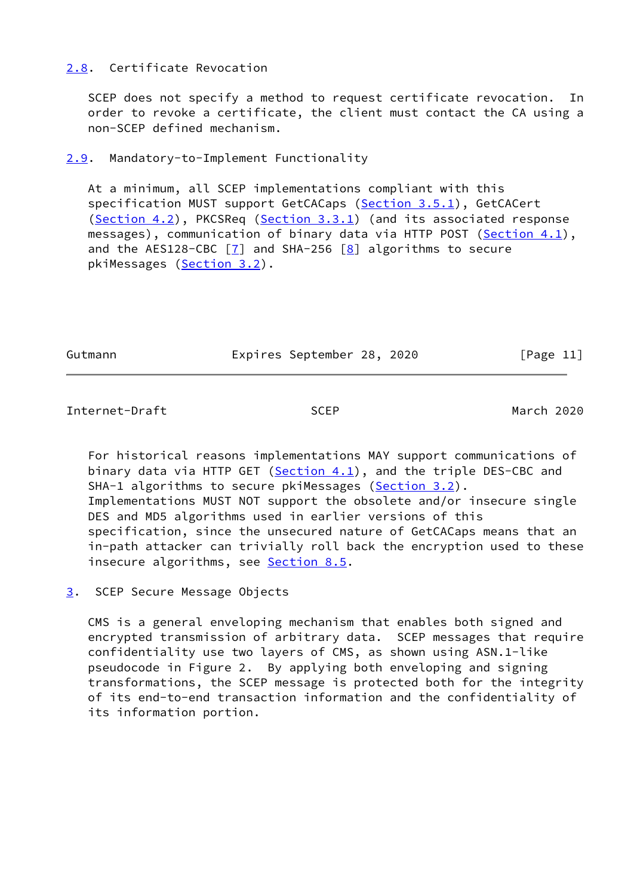# <span id="page-12-0"></span>[2.8](#page-12-0). Certificate Revocation

 SCEP does not specify a method to request certificate revocation. In order to revoke a certificate, the client must contact the CA using a non-SCEP defined mechanism.

<span id="page-12-1"></span>[2.9](#page-12-1). Mandatory-to-Implement Functionality

 At a minimum, all SCEP implementations compliant with this specification MUST support GetCACaps [\(Section 3.5.1\)](#page-24-1), GetCACert [\(Section 4.2](#page-29-0)), PKCSReq [\(Section 3.3.1](#page-20-3)) (and its associated response messages), communication of binary data via HTTP POST ([Section 4.1](#page-27-2)), and the AES128-CBC  $\boxed{7}$  and SHA-256  $\boxed{8}$  algorithms to secure pkiMessages [\(Section 3.2](#page-15-0)).

Gutmann Expires September 28, 2020 [Page 11]

<span id="page-12-3"></span>Internet-Draft SCEP March 2020

 For historical reasons implementations MAY support communications of binary data via HTTP GET ( $Section 4.1$ ), and the triple DES-CBC and SHA-1 algorithms to secure pkiMessages [\(Section 3.2](#page-15-0)). Implementations MUST NOT support the obsolete and/or insecure single DES and MD5 algorithms used in earlier versions of this specification, since the unsecured nature of GetCACaps means that an in-path attacker can trivially roll back the encryption used to these insecure algorithms, see [Section 8.5](#page-45-2).

<span id="page-12-2"></span>[3](#page-12-2). SCEP Secure Message Objects

 CMS is a general enveloping mechanism that enables both signed and encrypted transmission of arbitrary data. SCEP messages that require confidentiality use two layers of CMS, as shown using ASN.1-like pseudocode in Figure 2. By applying both enveloping and signing transformations, the SCEP message is protected both for the integrity of its end-to-end transaction information and the confidentiality of its information portion.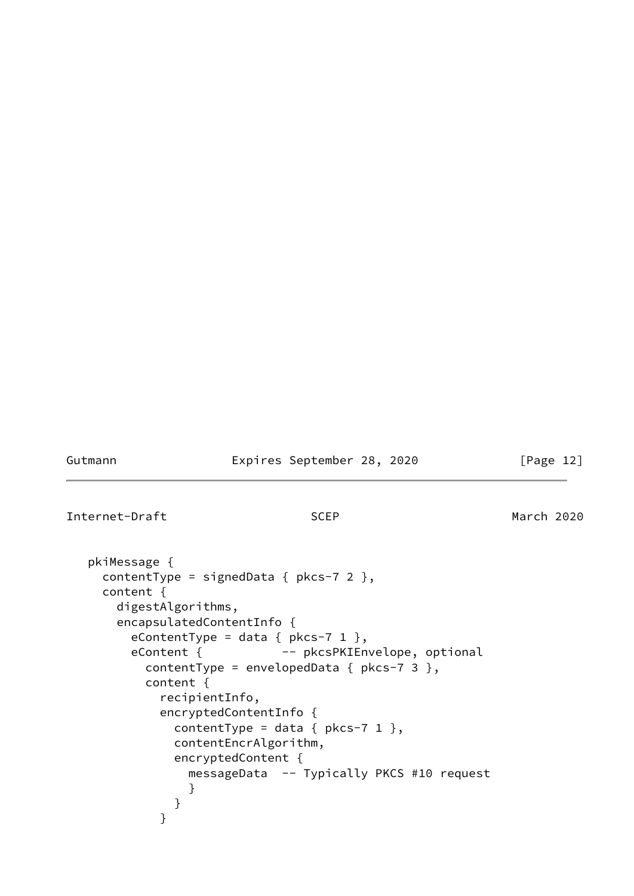Gutmann **Expires September 28, 2020** [Page 12]

Internet-Draft SCEP March 2020

```
 pkiMessage {
    contentType = signedData { pkcs-7 2 },
    content {
      digestAlgorithms,
      encapsulatedContentInfo {
       eContentType = data { pkcs-7 1 },
       eContent { -- pkcsPKIEnvelope, optional
          contentType = envelopedData { pkcs-7 3 },
          content {
           recipientInfo,
           encryptedContentInfo {
            contentType = data { pkcs-7 1 },
             contentEncrAlgorithm,
             encryptedContent {
               messageData -- Typically PKCS #10 request
}
}
}
```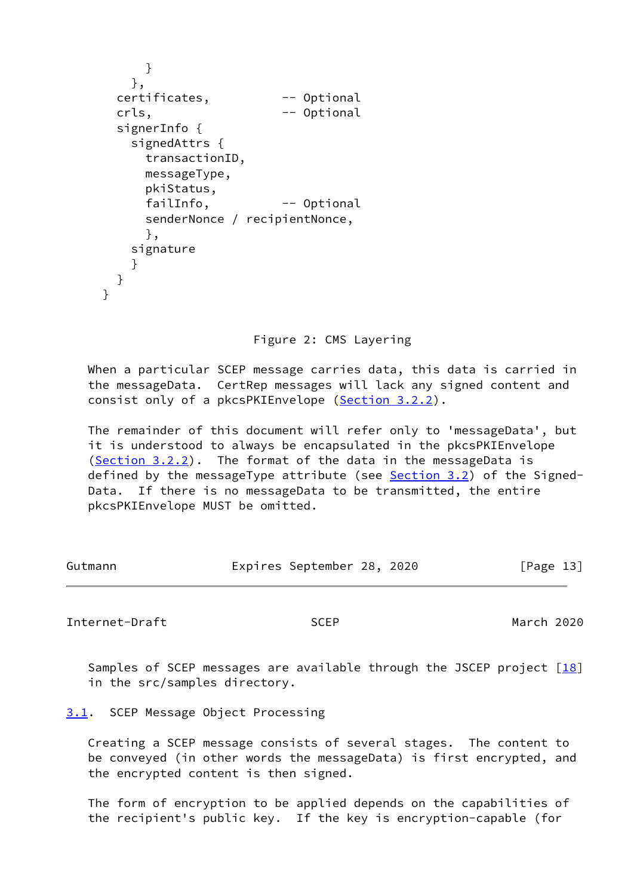```
 }
         },
     certificates, -- Optional
     crls, \qquad \qquad -- \quad \text{Optional} signerInfo {
         signedAttrs {
           transactionID,
          messageType,
          pkiStatus,
           failInfo, -- Optional
           senderNonce / recipientNonce,
           },
        signature
}
      }
    }
```
Figure 2: CMS Layering

 When a particular SCEP message carries data, this data is carried in the messageData. CertRep messages will lack any signed content and consist only of a pkcsPKIEnvelope ([Section 3.2.2\)](#page-20-0).

 The remainder of this document will refer only to 'messageData', but it is understood to always be encapsulated in the pkcsPKIEnvelope [\(Section 3.2.2](#page-20-0)). The format of the data in the messageData is defined by the messageType attribute (see **Section 3.2**) of the Signed- Data. If there is no messageData to be transmitted, the entire pkcsPKIEnvelope MUST be omitted.

| Expires September 28, 2020<br>Gutmann | [Page 13] |  |
|---------------------------------------|-----------|--|
|---------------------------------------|-----------|--|

<span id="page-14-1"></span>Internet-Draft SCEP March 2020

Samples of SCEP messages are available through the JSCEP project  $[18]$ in the src/samples directory.

<span id="page-14-0"></span>[3.1](#page-14-0). SCEP Message Object Processing

 Creating a SCEP message consists of several stages. The content to be conveyed (in other words the messageData) is first encrypted, and the encrypted content is then signed.

 The form of encryption to be applied depends on the capabilities of the recipient's public key. If the key is encryption-capable (for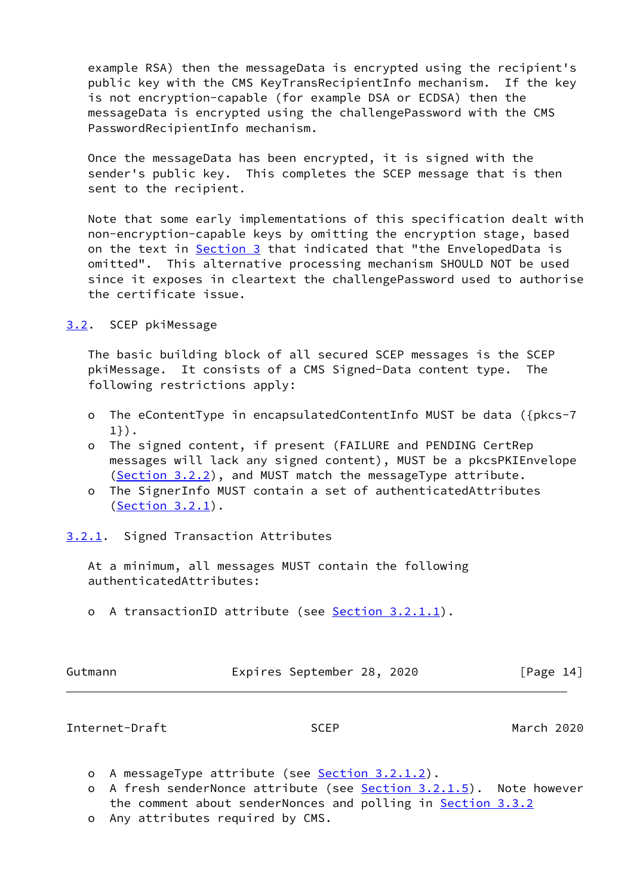example RSA) then the messageData is encrypted using the recipient's public key with the CMS KeyTransRecipientInfo mechanism. If the key is not encryption-capable (for example DSA or ECDSA) then the messageData is encrypted using the challengePassword with the CMS PasswordRecipientInfo mechanism.

 Once the messageData has been encrypted, it is signed with the sender's public key. This completes the SCEP message that is then sent to the recipient.

 Note that some early implementations of this specification dealt with non-encryption-capable keys by omitting the encryption stage, based on the text in [Section 3](#page-12-2) that indicated that "the EnvelopedData is omitted". This alternative processing mechanism SHOULD NOT be used since it exposes in cleartext the challengePassword used to authorise the certificate issue.

<span id="page-15-0"></span>[3.2](#page-15-0). SCEP pkiMessage

 The basic building block of all secured SCEP messages is the SCEP pkiMessage. It consists of a CMS Signed-Data content type. The following restrictions apply:

- o The eContentType in encapsulatedContentInfo MUST be data ({pkcs-7 1}).
- o The signed content, if present (FAILURE and PENDING CertRep messages will lack any signed content), MUST be a pkcsPKIEnvelope ([Section 3.2.2\)](#page-20-0), and MUST match the messageType attribute.
- o The SignerInfo MUST contain a set of authenticatedAttributes ([Section 3.2.1\)](#page-15-1).
- <span id="page-15-1"></span>[3.2.1](#page-15-1). Signed Transaction Attributes

 At a minimum, all messages MUST contain the following authenticatedAttributes:

o A transactionID attribute (see [Section 3.2.1.1](#page-17-0)).

| Gutmann | Expires September 28, 2020 |  | [Page 14] |  |
|---------|----------------------------|--|-----------|--|
|         |                            |  |           |  |

Internet-Draft SCEP March 2020

- o A messageType attribute (see [Section 3.2.1.2](#page-18-0)).
- o A fresh senderNonce attribute (see [Section 3.2.1.5](#page-19-1)). Note however the comment about senderNonces and polling in **Section 3.3.2**
- o Any attributes required by CMS.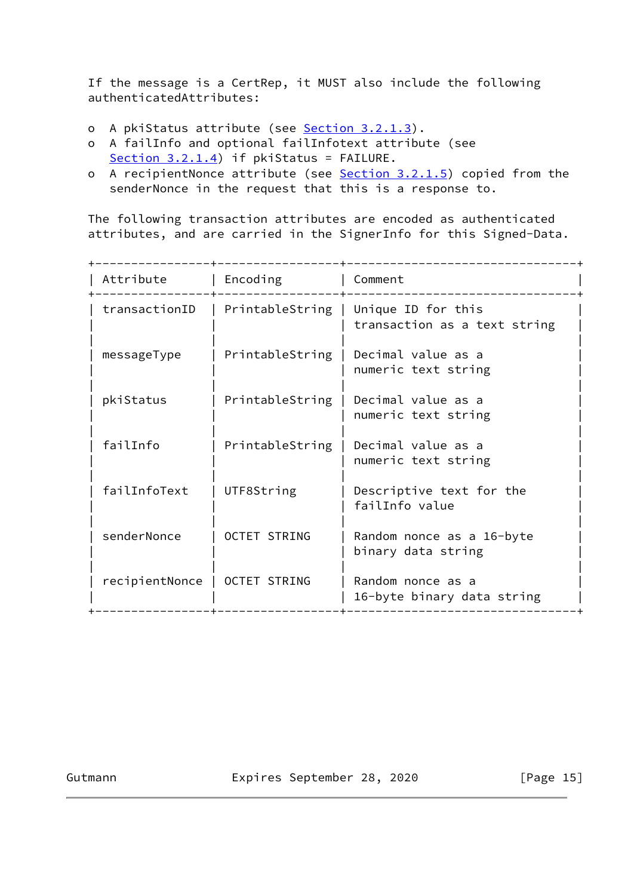If the message is a CertRep, it MUST also include the following authenticatedAttributes:

- o A pkiStatus attribute (see [Section 3.2.1.3](#page-18-2)).
- o A failInfo and optional failInfotext attribute (see [Section 3.2.1.4](#page-19-0)) if pkiStatus = FAILURE.
- o A recipientNonce attribute (see [Section 3.2.1.5](#page-19-1)) copied from the senderNonce in the request that this is a response to.

 The following transaction attributes are encoded as authenticated attributes, and are carried in the SignerInfo for this Signed-Data.

| Attribute      | Encoding            | Comment                                            |
|----------------|---------------------|----------------------------------------------------|
| transactionID  | PrintableString     | Unique ID for this<br>transaction as a text string |
| messageType    | PrintableString     | Decimal value as a<br>numeric text string          |
| pkiStatus      | PrintableString     | Decimal value as a<br>numeric text string          |
| failInfo       | PrintableString     | Decimal value as a<br>numeric text string          |
| failInfoText   | UTF8String          | Descriptive text for the<br>failInfo value         |
| senderNonce    | <b>OCTET STRING</b> | Random nonce as a 16-byte<br>binary data string    |
| recipientNonce | <b>OCTET STRING</b> | Random nonce as a<br>16-byte binary data string    |

Gutmann **Expires September 28, 2020** [Page 15]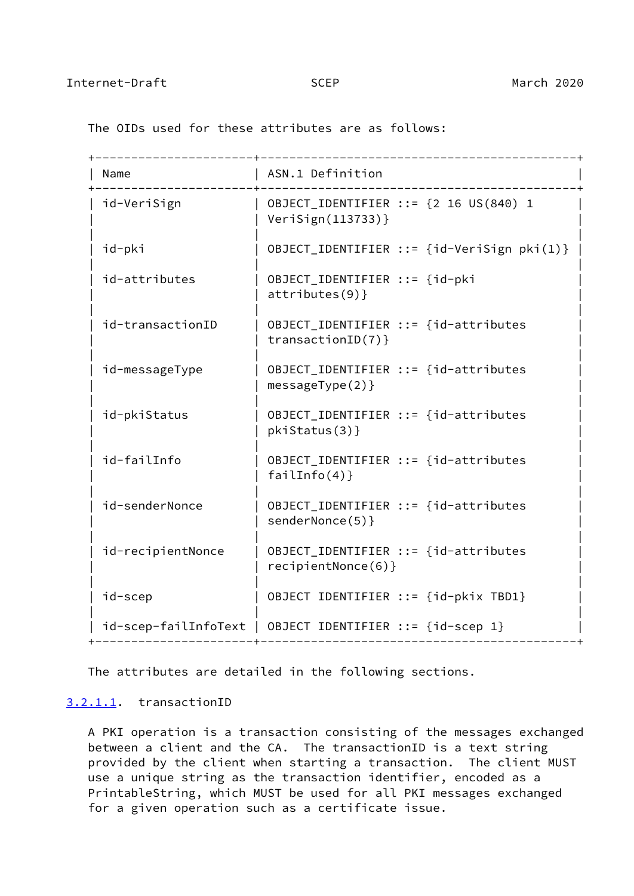+----------------------+--------------------------------------------+ | Name | ASN.1 Definition +----------------------+--------------------------------------------+  $id-VeriSign$  | OBJECT\_IDENTIFIER ::=  ${2}$  16 US(840) 1 | | VeriSign(113733)} | | | | id-pki | OBJECT\_IDENTIFIER ::= {id-VeriSign pki(1)} | | | id-attributes | OBJECT\_IDENTIFIER ::= {id-pki | attributes $(9)$ } | | | id-transactionID | OBJECT\_IDENTIFIER ::= {id-attributes  $transactionID(7)$ } | | | | id-messageType | OBJECT\_IDENTIFIER ::= {id-attributes | |  $messageType(2)$ } | | | | id-pkiStatus | OBJECT\_IDENTIFIER ::= {id-attributes | |  $pkistatus(3)$ } | | | id-failInfo | OBJECT\_IDENTIFIER ::= {id-attributes | failInfo $(4)$ } | | | id-senderNonce | OBJECT\_IDENTIFIER ::= {id-attributes  $|$  senderNonce(5)} | | | id-recipientNonce | OBJECT\_IDENTIFIER ::= {id-attributes | recipientNonce $(6)$ } | | | id-scep | OBJECT IDENTIFIER ::= {id-pkix TBD1} | | |  $id$ -scep-failInfoText | OBJECT IDENTIFIER ::= {id-scep 1} +----------------------+--------------------------------------------+

<span id="page-17-1"></span>The OIDs used for these attributes are as follows:

The attributes are detailed in the following sections.

### <span id="page-17-0"></span>[3.2.1.1](#page-17-0). transactionID

 A PKI operation is a transaction consisting of the messages exchanged between a client and the CA. The transactionID is a text string provided by the client when starting a transaction. The client MUST use a unique string as the transaction identifier, encoded as a PrintableString, which MUST be used for all PKI messages exchanged for a given operation such as a certificate issue.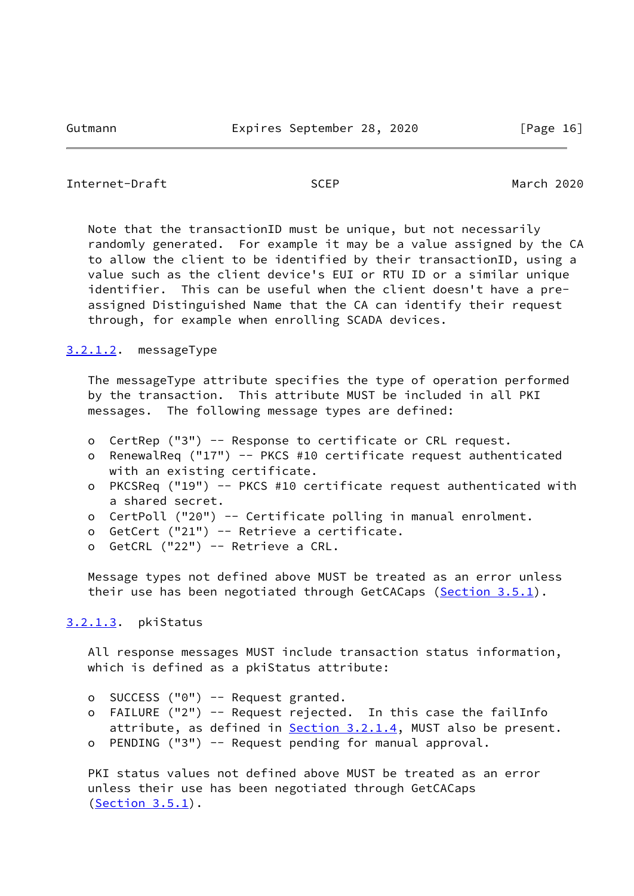```
Internet-Draft SCEP March 2020
```
 Note that the transactionID must be unique, but not necessarily randomly generated. For example it may be a value assigned by the CA to allow the client to be identified by their transactionID, using a value such as the client device's EUI or RTU ID or a similar unique identifier. This can be useful when the client doesn't have a pre assigned Distinguished Name that the CA can identify their request through, for example when enrolling SCADA devices.

## <span id="page-18-0"></span>[3.2.1.2](#page-18-0). messageType

 The messageType attribute specifies the type of operation performed by the transaction. This attribute MUST be included in all PKI messages. The following message types are defined:

- o CertRep ("3") -- Response to certificate or CRL request.
- o RenewalReq ("17") -- PKCS #10 certificate request authenticated with an existing certificate.
- o PKCSReq ("19") -- PKCS #10 certificate request authenticated with a shared secret.
- o CertPoll ("20") -- Certificate polling in manual enrolment.
- o GetCert ("21") -- Retrieve a certificate.
- o GetCRL ("22") -- Retrieve a CRL.

 Message types not defined above MUST be treated as an error unless their use has been negotiated through GetCACaps [\(Section 3.5.1](#page-24-1)).

# <span id="page-18-2"></span>[3.2.1.3](#page-18-2). pkiStatus

 All response messages MUST include transaction status information, which is defined as a pkiStatus attribute:

- o SUCCESS ("0") -- Request granted.
- o FAILURE ("2") -- Request rejected. In this case the failInfo attribute, as defined in [Section 3.2.1.4,](#page-19-0) MUST also be present. o PENDING ("3") -- Request pending for manual approval.
- 

 PKI status values not defined above MUST be treated as an error unless their use has been negotiated through GetCACaps  $(Section 3.5.1).$  $(Section 3.5.1).$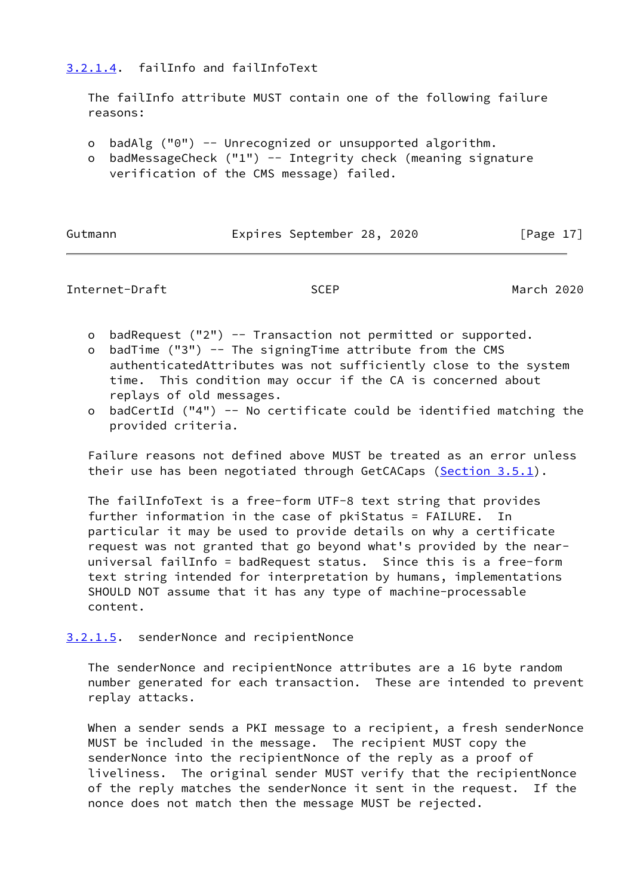# <span id="page-19-0"></span>[3.2.1.4](#page-19-0). failInfo and failInfoText

 The failInfo attribute MUST contain one of the following failure reasons:

- o badAlg ("0") -- Unrecognized or unsupported algorithm.
- o badMessageCheck ("1") -- Integrity check (meaning signature verification of the CMS message) failed.

| Gutmann |  |  |  |  |
|---------|--|--|--|--|
|---------|--|--|--|--|

Expires September 28, 2020 [Page 17]

<span id="page-19-2"></span>

|  | Internet-Draft |
|--|----------------|
|--|----------------|

Internet-Drama March 2020

- o badRequest ("2") -- Transaction not permitted or supported.
- o badTime ("3") -- The signingTime attribute from the CMS authenticatedAttributes was not sufficiently close to the system time. This condition may occur if the CA is concerned about replays of old messages.
- o badCertId ("4") -- No certificate could be identified matching the provided criteria.

 Failure reasons not defined above MUST be treated as an error unless their use has been negotiated through GetCACaps [\(Section 3.5.1](#page-24-1)).

 The failInfoText is a free-form UTF-8 text string that provides further information in the case of pkiStatus = FAILURE. In particular it may be used to provide details on why a certificate request was not granted that go beyond what's provided by the near universal failInfo = badRequest status. Since this is a free-form text string intended for interpretation by humans, implementations SHOULD NOT assume that it has any type of machine-processable content.

<span id="page-19-1"></span>[3.2.1.5](#page-19-1). senderNonce and recipientNonce

 The senderNonce and recipientNonce attributes are a 16 byte random number generated for each transaction. These are intended to prevent replay attacks.

 When a sender sends a PKI message to a recipient, a fresh senderNonce MUST be included in the message. The recipient MUST copy the senderNonce into the recipientNonce of the reply as a proof of liveliness. The original sender MUST verify that the recipientNonce of the reply matches the senderNonce it sent in the request. If the nonce does not match then the message MUST be rejected.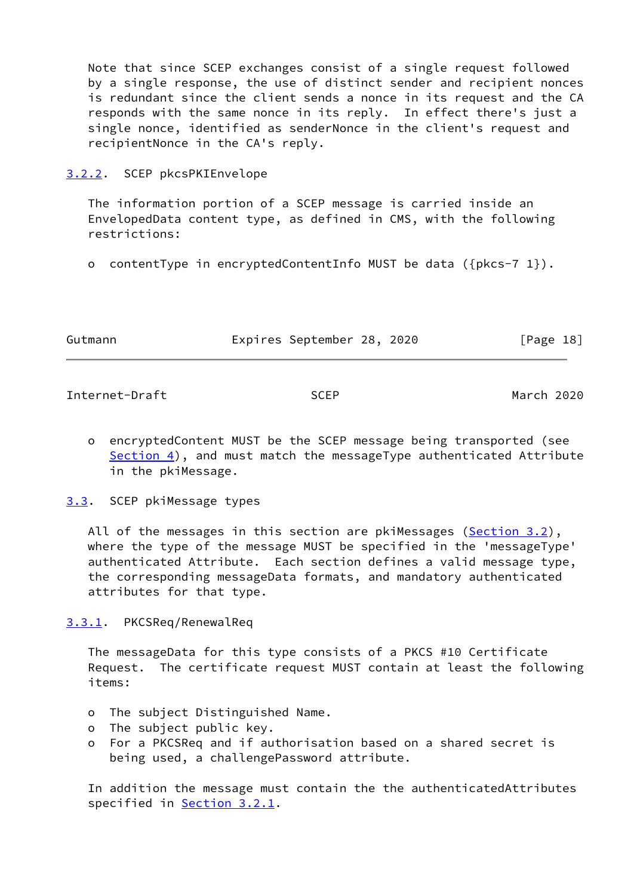Note that since SCEP exchanges consist of a single request followed by a single response, the use of distinct sender and recipient nonces is redundant since the client sends a nonce in its request and the CA responds with the same nonce in its reply. In effect there's just a single nonce, identified as senderNonce in the client's request and recipientNonce in the CA's reply.

<span id="page-20-0"></span>[3.2.2](#page-20-0). SCEP pkcsPKIEnvelope

 The information portion of a SCEP message is carried inside an EnvelopedData content type, as defined in CMS, with the following restrictions:

o contentType in encryptedContentInfo MUST be data ({pkcs-7 1}).

| Gutmann | Expires September 28, 2020 |  | [Page 18] |  |
|---------|----------------------------|--|-----------|--|
|         |                            |  |           |  |

<span id="page-20-2"></span>Internet-Draft SCEP March 2020

 o encryptedContent MUST be the SCEP message being transported (see [Section 4\)](#page-27-0), and must match the messageType authenticated Attribute in the pkiMessage.

<span id="page-20-1"></span>[3.3](#page-20-1). SCEP pkiMessage types

All of the messages in this section are pkiMessages [\(Section 3.2](#page-15-0)), where the type of the message MUST be specified in the 'messageType' authenticated Attribute. Each section defines a valid message type, the corresponding messageData formats, and mandatory authenticated attributes for that type.

<span id="page-20-3"></span>[3.3.1](#page-20-3). PKCSReq/RenewalReq

 The messageData for this type consists of a PKCS #10 Certificate Request. The certificate request MUST contain at least the following items:

- o The subject Distinguished Name.
- o The subject public key.
- o For a PKCSReq and if authorisation based on a shared secret is being used, a challengePassword attribute.

 In addition the message must contain the the authenticatedAttributes specified in **Section 3.2.1**.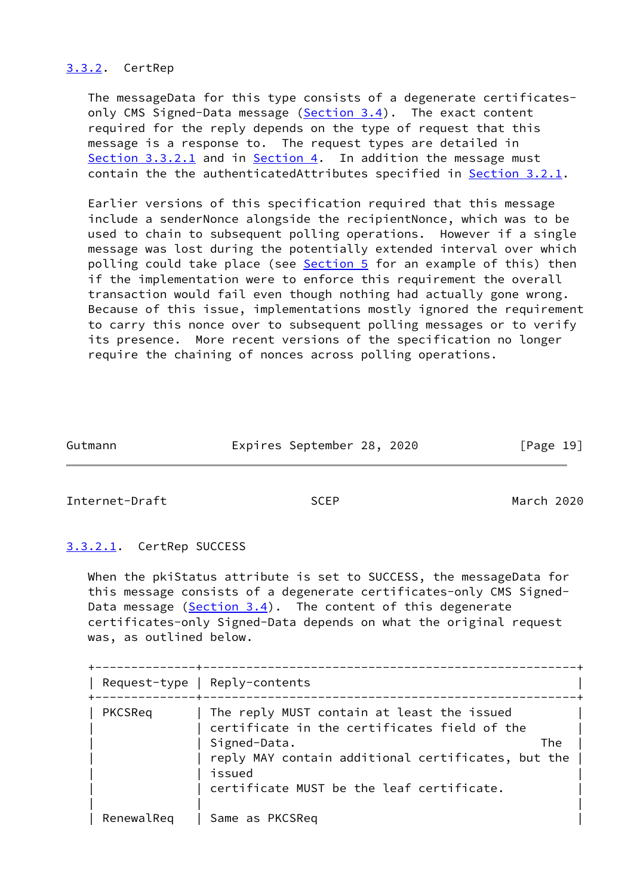## <span id="page-21-0"></span>[3.3.2](#page-21-0). CertRep

 The messageData for this type consists of a degenerate certificates- only CMS Signed-Data message [\(Section 3.4](#page-23-1)). The exact content required for the reply depends on the type of request that this message is a response to. The request types are detailed in [Section 3.3.2.1](#page-21-1) and in [Section 4.](#page-27-0) In addition the message must contain the the authenticatedAttributes specified in [Section 3.2.1](#page-15-1).

 Earlier versions of this specification required that this message include a senderNonce alongside the recipientNonce, which was to be used to chain to subsequent polling operations. However if a single message was lost during the potentially extended interval over which polling could take place (see [Section 5](#page-33-1) for an example of this) then if the implementation were to enforce this requirement the overall transaction would fail even though nothing had actually gone wrong. Because of this issue, implementations mostly ignored the requirement to carry this nonce over to subsequent polling messages or to verify its presence. More recent versions of the specification no longer require the chaining of nonces across polling operations.

Gutmann Expires September 28, 2020 [Page 19]

<span id="page-21-2"></span>Internet-Draft SCEP March 2020

## <span id="page-21-1"></span>[3.3.2.1](#page-21-1). CertRep SUCCESS

 When the pkiStatus attribute is set to SUCCESS, the messageData for this message consists of a degenerate certificates-only CMS Signed- Data message  $(Section 3.4)$  $(Section 3.4)$ . The content of this degenerate certificates-only Signed-Data depends on what the original request was, as outlined below.

|            | Request-type   Reply-contents                                                                                                                                                                                                  |
|------------|--------------------------------------------------------------------------------------------------------------------------------------------------------------------------------------------------------------------------------|
| PKCSReq    | The reply MUST contain at least the issued<br>certificate in the certificates field of the<br>Signed-Data.<br>The<br>reply MAY contain additional certificates, but the<br>issued<br>certificate MUST be the leaf certificate. |
| RenewalReq | Same as PKCSReq                                                                                                                                                                                                                |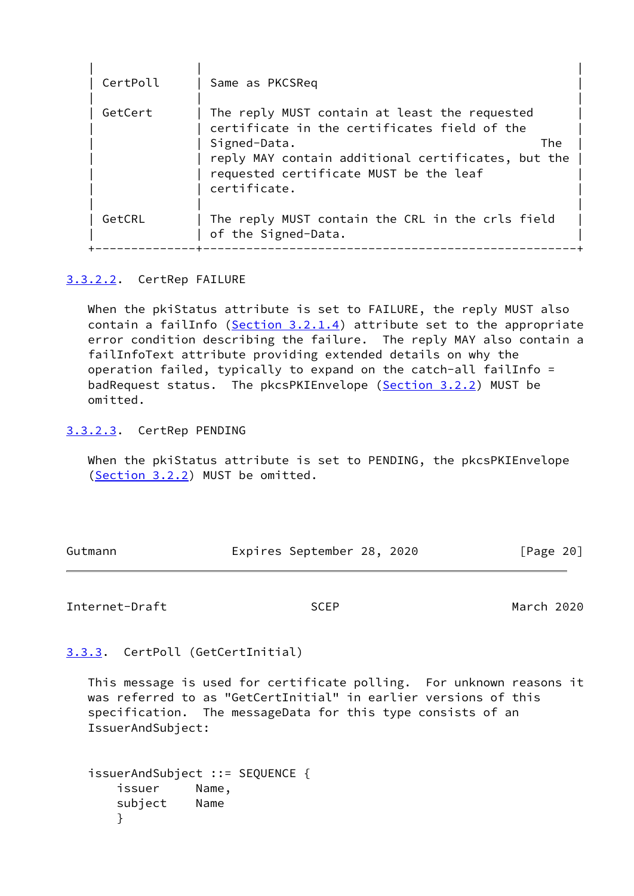| CertPoll | Same as PKCSReq                                                                                                                                                                                                                      |
|----------|--------------------------------------------------------------------------------------------------------------------------------------------------------------------------------------------------------------------------------------|
| GetCert  | The reply MUST contain at least the requested<br>certificate in the certificates field of the<br>Signed-Data.<br>The<br>reply MAY contain additional certificates, but the<br>requested certificate MUST be the leaf<br>certificate. |
| GetCRL   | The reply MUST contain the CRL in the crls field<br>of the Signed-Data.                                                                                                                                                              |

# <span id="page-22-0"></span>[3.3.2.2](#page-22-0). CertRep FAILURE

 When the pkiStatus attribute is set to FAILURE, the reply MUST also contain a failInfo ([Section 3.2.1.4\)](#page-19-0) attribute set to the appropriate error condition describing the failure. The reply MAY also contain a failInfoText attribute providing extended details on why the operation failed, typically to expand on the catch-all failInfo = badRequest status. The pkcsPKIEnvelope [\(Section 3.2.2](#page-20-0)) MUST be omitted.

<span id="page-22-1"></span>[3.3.2.3](#page-22-1). CertRep PENDING

 When the pkiStatus attribute is set to PENDING, the pkcsPKIEnvelope [\(Section 3.2.2](#page-20-0)) MUST be omitted.

| Gutmann | Expires September 28, 2020 |  | [Page 20] |
|---------|----------------------------|--|-----------|

## <span id="page-22-3"></span>Internet-Draft SCEP March 2020

<span id="page-22-2"></span>[3.3.3](#page-22-2). CertPoll (GetCertInitial)

 This message is used for certificate polling. For unknown reasons it was referred to as "GetCertInitial" in earlier versions of this specification. The messageData for this type consists of an IssuerAndSubject:

```
 issuerAndSubject ::= SEQUENCE {
   issuer Name,
   subject Name
   }
```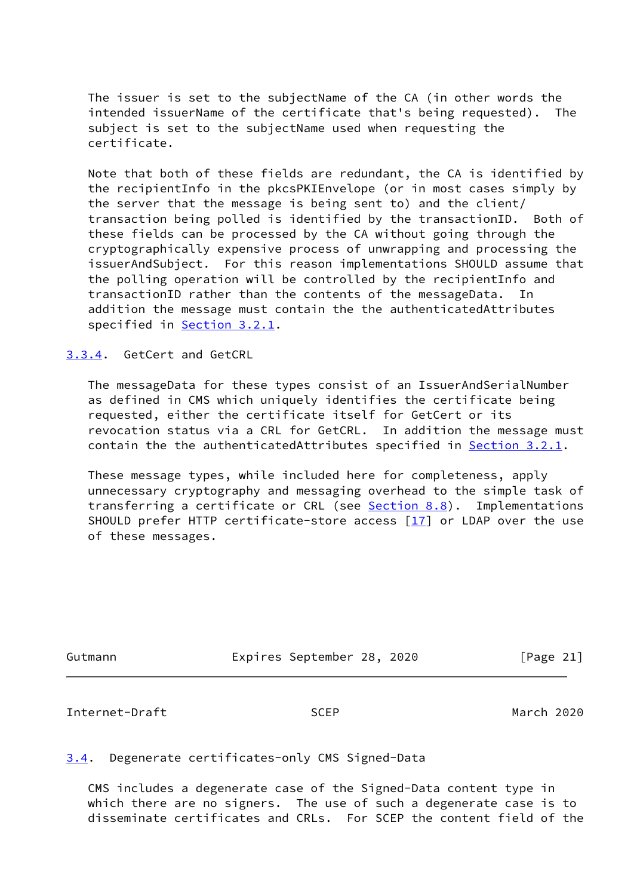The issuer is set to the subjectName of the CA (in other words the intended issuerName of the certificate that's being requested). The subject is set to the subjectName used when requesting the certificate.

 Note that both of these fields are redundant, the CA is identified by the recipientInfo in the pkcsPKIEnvelope (or in most cases simply by the server that the message is being sent to) and the client/ transaction being polled is identified by the transactionID. Both of these fields can be processed by the CA without going through the cryptographically expensive process of unwrapping and processing the issuerAndSubject. For this reason implementations SHOULD assume that the polling operation will be controlled by the recipientInfo and transactionID rather than the contents of the messageData. In addition the message must contain the the authenticatedAttributes specified in [Section 3.2.1](#page-15-1).

<span id="page-23-0"></span>[3.3.4](#page-23-0). GetCert and GetCRL

 The messageData for these types consist of an IssuerAndSerialNumber as defined in CMS which uniquely identifies the certificate being requested, either the certificate itself for GetCert or its revocation status via a CRL for GetCRL. In addition the message must contain the the authenticatedAttributes specified in [Section 3.2.1](#page-15-1).

 These message types, while included here for completeness, apply unnecessary cryptography and messaging overhead to the simple task of transferring a certificate or CRL (see [Section 8.8](#page-47-1)). Implementations SHOULD prefer HTTP certificate-store access  $[17]$  or LDAP over the use of these messages.

| Gutmann | Expires September 28, 2020 |  | [Page 21] |  |
|---------|----------------------------|--|-----------|--|
|         |                            |  |           |  |

<span id="page-23-2"></span>Internet-Draft SCEP March 2020

## <span id="page-23-1"></span>[3.4](#page-23-1). Degenerate certificates-only CMS Signed-Data

 CMS includes a degenerate case of the Signed-Data content type in which there are no signers. The use of such a degenerate case is to disseminate certificates and CRLs. For SCEP the content field of the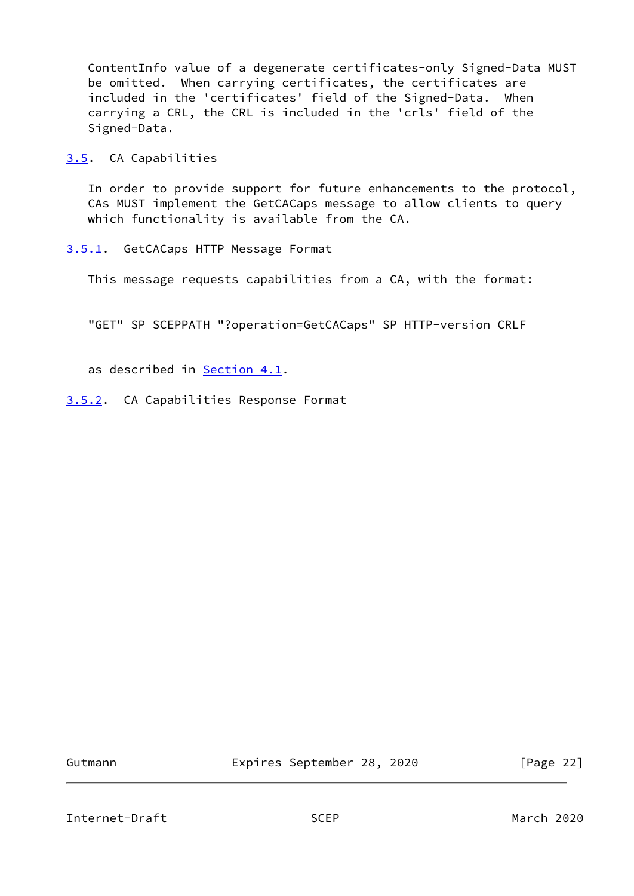ContentInfo value of a degenerate certificates-only Signed-Data MUST be omitted. When carrying certificates, the certificates are included in the 'certificates' field of the Signed-Data. When carrying a CRL, the CRL is included in the 'crls' field of the Signed-Data.

<span id="page-24-0"></span>[3.5](#page-24-0). CA Capabilities

 In order to provide support for future enhancements to the protocol, CAs MUST implement the GetCACaps message to allow clients to query which functionality is available from the CA.

<span id="page-24-1"></span>[3.5.1](#page-24-1). GetCACaps HTTP Message Format

This message requests capabilities from a CA, with the format:

"GET" SP SCEPPATH "?operation=GetCACaps" SP HTTP-version CRLF

as described in [Section 4.1](#page-27-2).

<span id="page-24-2"></span>[3.5.2](#page-24-2). CA Capabilities Response Format

Gutmann Expires September 28, 2020 [Page 22]

Internet-Draft SCEP March 2020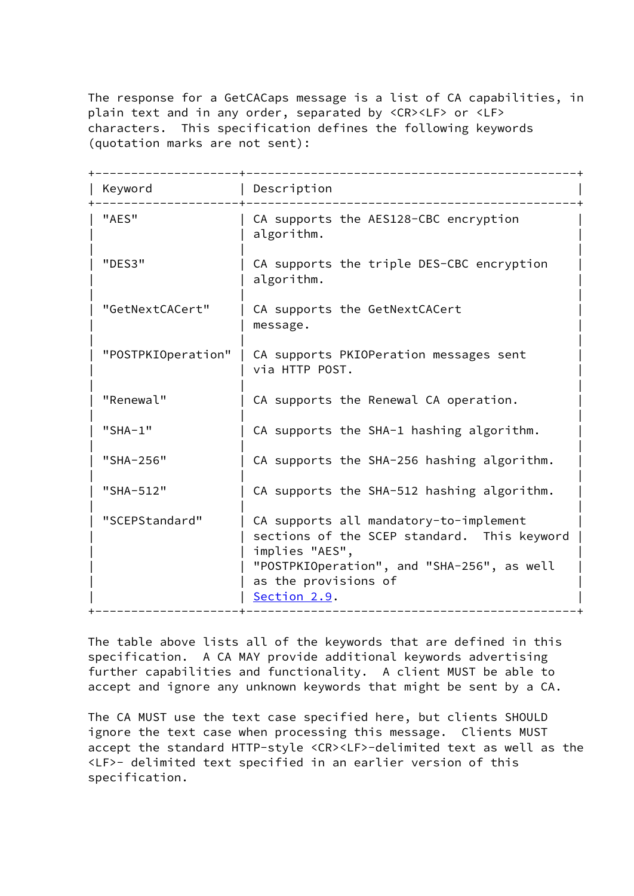The response for a GetCACaps message is a list of CA capabilities, in plain text and in any order, separated by <CR><LF> or <LF> characters. This specification defines the following keywords (quotation marks are not sent):

| Keyword            | Description                                                                                                                                                                                   |
|--------------------|-----------------------------------------------------------------------------------------------------------------------------------------------------------------------------------------------|
| "AES"              | CA supports the AES128-CBC encryption<br>algorithm.                                                                                                                                           |
| "DES3"             | CA supports the triple DES-CBC encryption<br>algorithm.                                                                                                                                       |
| "GetNextCACert"    | CA supports the GetNextCACert<br>message.                                                                                                                                                     |
| "POSTPKIOperation" | CA supports PKIOPeration messages sent<br>via HTTP POST.                                                                                                                                      |
| "Renewal"          | CA supports the Renewal CA operation.                                                                                                                                                         |
| $"SHA-1"$          | CA supports the SHA-1 hashing algorithm.                                                                                                                                                      |
| "SHA-256"          | CA supports the SHA-256 hashing algorithm.                                                                                                                                                    |
| "SHA-512"          | CA supports the SHA-512 hashing algorithm.                                                                                                                                                    |
| "SCEPStandard"     | CA supports all mandatory-to-implement<br>sections of the SCEP standard. This keyword<br>implies "AES",<br>"POSTPKIOperation", and "SHA-256", as well<br>as the provisions of<br>Section 2.9. |

 The table above lists all of the keywords that are defined in this specification. A CA MAY provide additional keywords advertising further capabilities and functionality. A client MUST be able to accept and ignore any unknown keywords that might be sent by a CA.

 The CA MUST use the text case specified here, but clients SHOULD ignore the text case when processing this message. Clients MUST accept the standard HTTP-style <CR><LF>-delimited text as well as the <LF>- delimited text specified in an earlier version of this specification.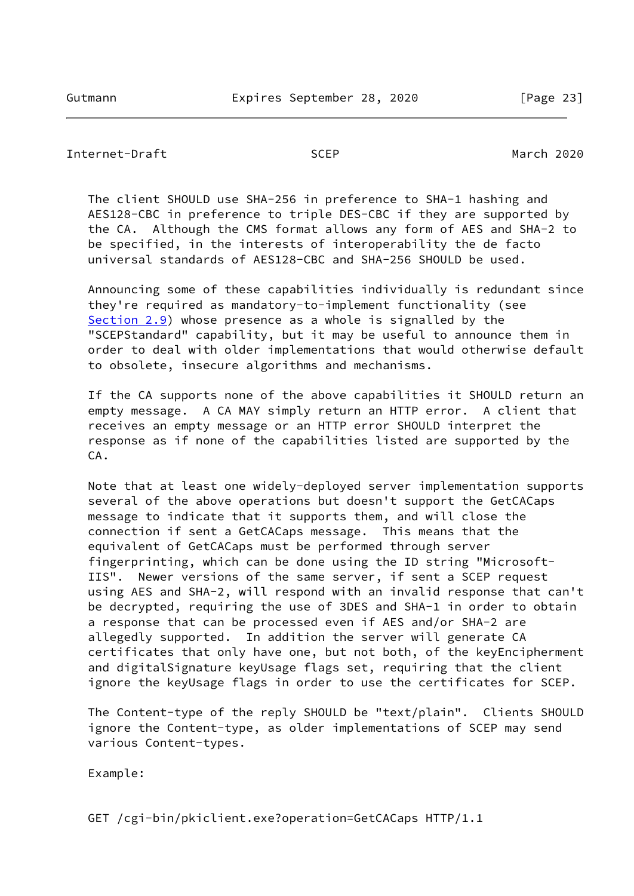```
Internet-Draft SCEP March 2020
```
 The client SHOULD use SHA-256 in preference to SHA-1 hashing and AES128-CBC in preference to triple DES-CBC if they are supported by the CA. Although the CMS format allows any form of AES and SHA-2 to be specified, in the interests of interoperability the de facto universal standards of AES128-CBC and SHA-256 SHOULD be used.

 Announcing some of these capabilities individually is redundant since they're required as mandatory-to-implement functionality (see [Section 2.9](#page-12-1)) whose presence as a whole is signalled by the "SCEPStandard" capability, but it may be useful to announce them in order to deal with older implementations that would otherwise default to obsolete, insecure algorithms and mechanisms.

 If the CA supports none of the above capabilities it SHOULD return an empty message. A CA MAY simply return an HTTP error. A client that receives an empty message or an HTTP error SHOULD interpret the response as if none of the capabilities listed are supported by the CA.

 Note that at least one widely-deployed server implementation supports several of the above operations but doesn't support the GetCACaps message to indicate that it supports them, and will close the connection if sent a GetCACaps message. This means that the equivalent of GetCACaps must be performed through server fingerprinting, which can be done using the ID string "Microsoft- IIS". Newer versions of the same server, if sent a SCEP request using AES and SHA-2, will respond with an invalid response that can't be decrypted, requiring the use of 3DES and SHA-1 in order to obtain a response that can be processed even if AES and/or SHA-2 are allegedly supported. In addition the server will generate CA certificates that only have one, but not both, of the keyEncipherment and digitalSignature keyUsage flags set, requiring that the client ignore the keyUsage flags in order to use the certificates for SCEP.

 The Content-type of the reply SHOULD be "text/plain". Clients SHOULD ignore the Content-type, as older implementations of SCEP may send various Content-types.

Example:

GET /cgi-bin/pkiclient.exe?operation=GetCACaps HTTP/1.1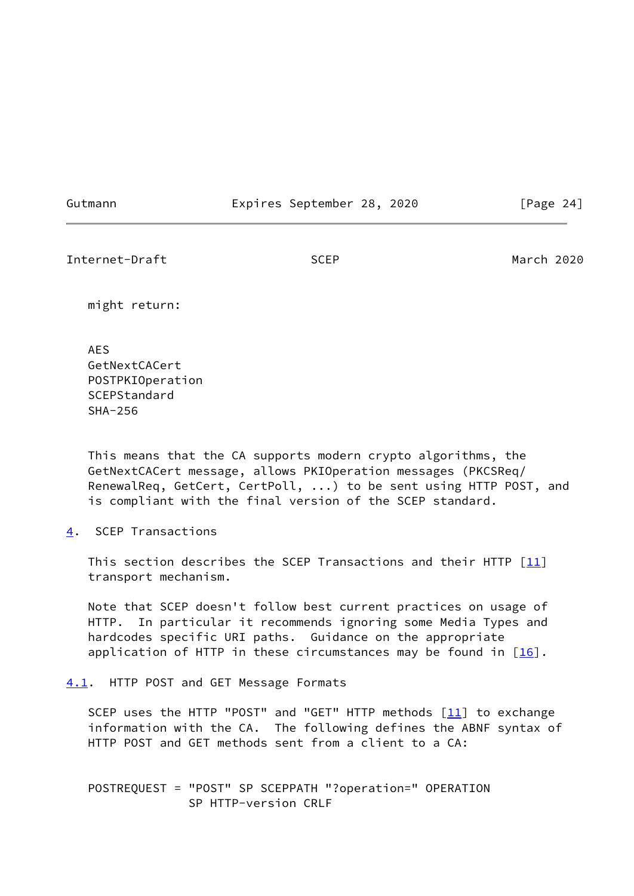Gutmann Expires September 28, 2020 [Page 24]

<span id="page-27-1"></span>Internet-Draft SCEP March 2020

might return:

 AES GetNextCACert POSTPKIOperation **SCEPStandard** SHA-256

 This means that the CA supports modern crypto algorithms, the GetNextCACert message, allows PKIOperation messages (PKCSReq/ RenewalReq, GetCert, CertPoll, ...) to be sent using HTTP POST, and is compliant with the final version of the SCEP standard.

<span id="page-27-0"></span>[4](#page-27-0). SCEP Transactions

This section describes the SCEP Transactions and their HTTP  $\lceil$ 11] transport mechanism.

 Note that SCEP doesn't follow best current practices on usage of HTTP. In particular it recommends ignoring some Media Types and hardcodes specific URI paths. Guidance on the appropriate application of HTTP in these circumstances may be found in  $[16]$  $[16]$ .

<span id="page-27-2"></span>[4.1](#page-27-2). HTTP POST and GET Message Formats

SCEP uses the HTTP "POST" and "GET" HTTP methods  $[11]$  to exchange information with the CA. The following defines the ABNF syntax of HTTP POST and GET methods sent from a client to a CA:

 POSTREQUEST = "POST" SP SCEPPATH "?operation=" OPERATION SP HTTP-version CRLF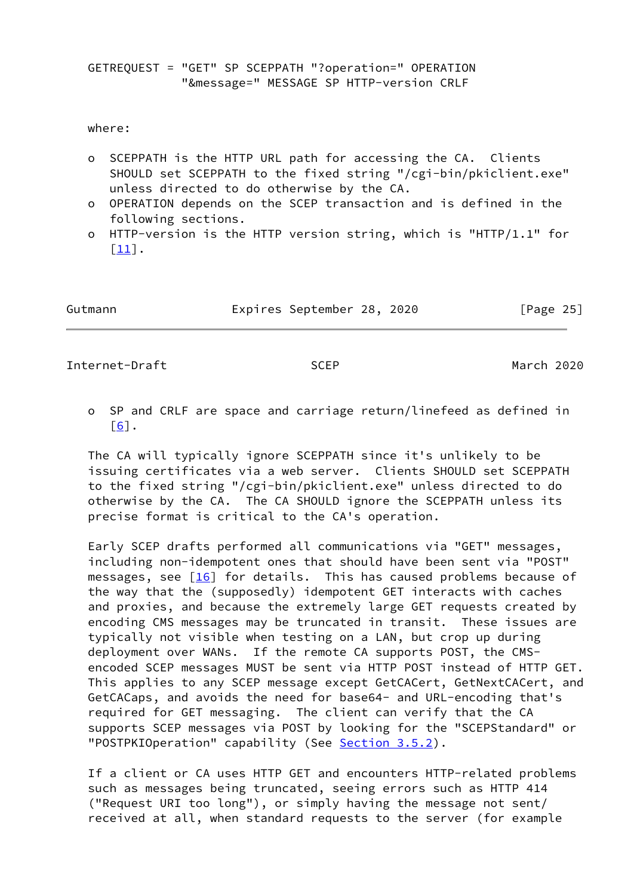GETREQUEST = "GET" SP SCEPPATH "?operation=" OPERATION "&message=" MESSAGE SP HTTP-version CRLF

where:

- o SCEPPATH is the HTTP URL path for accessing the CA. Clients SHOULD set SCEPPATH to the fixed string "/cgi-bin/pkiclient.exe" unless directed to do otherwise by the CA.
- o OPERATION depends on the SCEP transaction and is defined in the following sections.
- o HTTP-version is the HTTP version string, which is "HTTP/1.1" for  $\lceil 11 \rceil$ .

| Gutmann | Expires September 28, 2020 | [Page 25] |
|---------|----------------------------|-----------|
|---------|----------------------------|-----------|

<span id="page-28-0"></span>Internet-Draft SCEP March 2020

 o SP and CRLF are space and carriage return/linefeed as defined in  $\lceil 6 \rceil$ .

 The CA will typically ignore SCEPPATH since it's unlikely to be issuing certificates via a web server. Clients SHOULD set SCEPPATH to the fixed string "/cgi-bin/pkiclient.exe" unless directed to do otherwise by the CA. The CA SHOULD ignore the SCEPPATH unless its precise format is critical to the CA's operation.

 Early SCEP drafts performed all communications via "GET" messages, including non-idempotent ones that should have been sent via "POST" messages, see  $\lceil 16 \rceil$  for details. This has caused problems because of the way that the (supposedly) idempotent GET interacts with caches and proxies, and because the extremely large GET requests created by encoding CMS messages may be truncated in transit. These issues are typically not visible when testing on a LAN, but crop up during deployment over WANs. If the remote CA supports POST, the CMS encoded SCEP messages MUST be sent via HTTP POST instead of HTTP GET. This applies to any SCEP message except GetCACert, GetNextCACert, and GetCACaps, and avoids the need for base64- and URL-encoding that's required for GET messaging. The client can verify that the CA supports SCEP messages via POST by looking for the "SCEPStandard" or "POSTPKIOperation" capability (See [Section 3.5.2\)](#page-24-2).

 If a client or CA uses HTTP GET and encounters HTTP-related problems such as messages being truncated, seeing errors such as HTTP 414 ("Request URI too long"), or simply having the message not sent/ received at all, when standard requests to the server (for example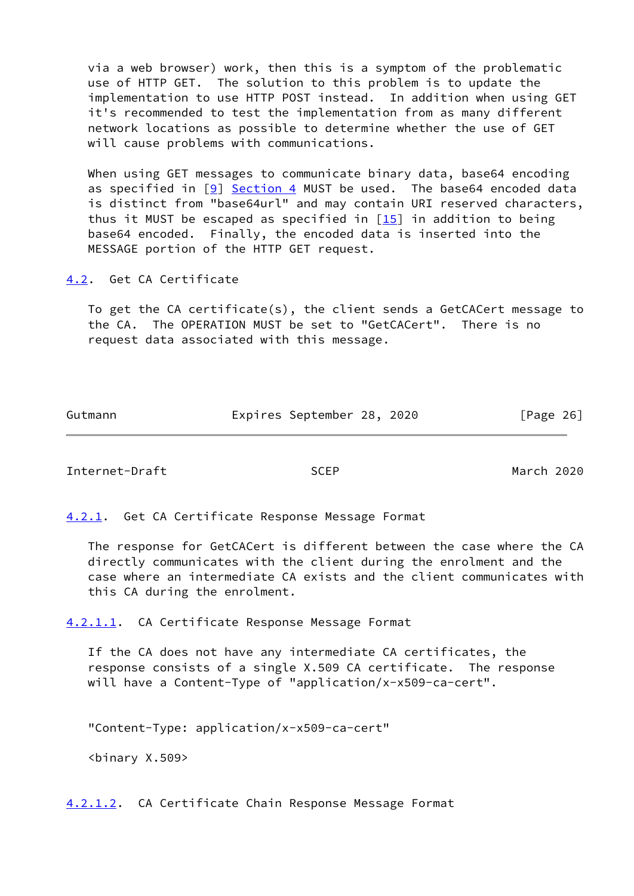via a web browser) work, then this is a symptom of the problematic use of HTTP GET. The solution to this problem is to update the implementation to use HTTP POST instead. In addition when using GET it's recommended to test the implementation from as many different network locations as possible to determine whether the use of GET will cause problems with communications.

 When using GET messages to communicate binary data, base64 encoding as specified in  $[9]$  $[9]$  [Section 4](#page-27-0) MUST be used. The base64 encoded data is distinct from "base64url" and may contain URI reserved characters, thus it MUST be escaped as specified in  $[15]$  in addition to being base64 encoded. Finally, the encoded data is inserted into the MESSAGE portion of the HTTP GET request.

<span id="page-29-0"></span>[4.2](#page-29-0). Get CA Certificate

 To get the CA certificate(s), the client sends a GetCACert message to the CA. The OPERATION MUST be set to "GetCACert". There is no request data associated with this message.

Gutmann Expires September 28, 2020 [Page 26]

<span id="page-29-2"></span>Internet-Draft SCEP March 2020

<span id="page-29-1"></span>[4.2.1](#page-29-1). Get CA Certificate Response Message Format

 The response for GetCACert is different between the case where the CA directly communicates with the client during the enrolment and the case where an intermediate CA exists and the client communicates with this CA during the enrolment.

<span id="page-29-3"></span>[4.2.1.1](#page-29-3). CA Certificate Response Message Format

 If the CA does not have any intermediate CA certificates, the response consists of a single X.509 CA certificate. The response will have a Content-Type of "application/x-x509-ca-cert".

"Content-Type: application/x-x509-ca-cert"

<binary X.509>

<span id="page-29-4"></span>[4.2.1.2](#page-29-4). CA Certificate Chain Response Message Format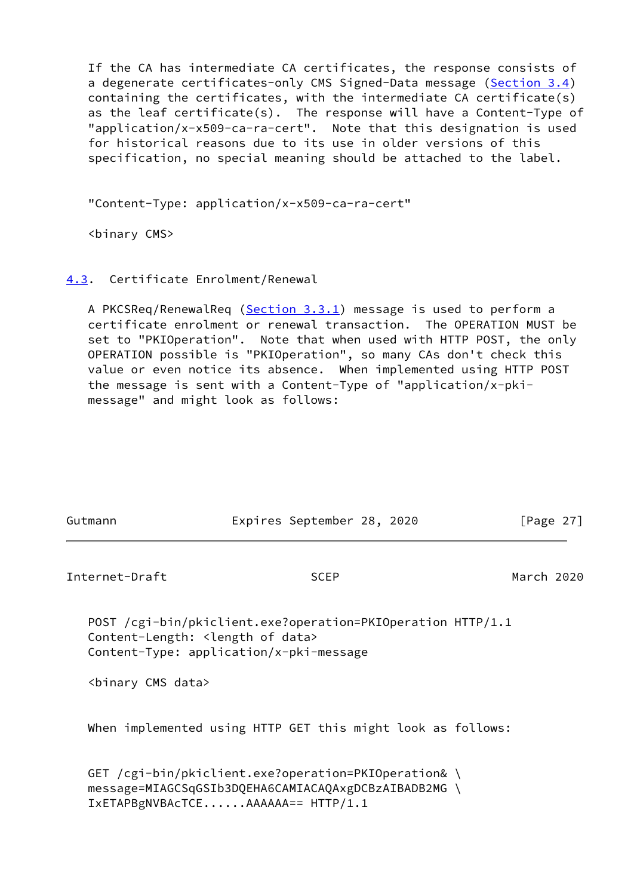If the CA has intermediate CA certificates, the response consists of a degenerate certificates-only CMS Signed-Data message [\(Section 3.4](#page-23-1)) containing the certificates, with the intermediate CA certificate(s) as the leaf certificate(s). The response will have a Content-Type of "application/x-x509-ca-ra-cert". Note that this designation is used for historical reasons due to its use in older versions of this specification, no special meaning should be attached to the label.

"Content-Type: application/x-x509-ca-ra-cert"

<binary CMS>

## <span id="page-30-0"></span>[4.3](#page-30-0). Certificate Enrolment/Renewal

A PKCSReq/RenewalReq [\(Section 3.3.1\)](#page-20-3) message is used to perform a certificate enrolment or renewal transaction. The OPERATION MUST be set to "PKIOperation". Note that when used with HTTP POST, the only OPERATION possible is "PKIOperation", so many CAs don't check this value or even notice its absence. When implemented using HTTP POST the message is sent with a Content-Type of "application/x-pki message" and might look as follows:

<span id="page-30-1"></span>

| Gutmann                          | Expires September 28, 2020                                                                                                                                 | [Page $27$ ] |
|----------------------------------|------------------------------------------------------------------------------------------------------------------------------------------------------------|--------------|
| Internet-Draft                   | <b>SCEP</b>                                                                                                                                                | March 2020   |
|                                  | POST /cgi-bin/pkiclient.exe?operation=PKIOperation HTTP/1.1<br>Content-Length: <length data="" of=""><br/>Content-Type: application/x-pki-message</length> |              |
| <binary cms="" data=""></binary> |                                                                                                                                                            |              |
|                                  | When implemented using HTTP GET this might look as follows:                                                                                                |              |
|                                  | GET /cgi-bin/pkiclient.exe?operation=PKIOperation& \<br>message=MIAGCSqGSIb3DQEHA6CAMIACAQAxgDCBzAIBADB2MG \<br>IxETAPBgNVBAcTCEAAAAAA== HTTP/1.1          |              |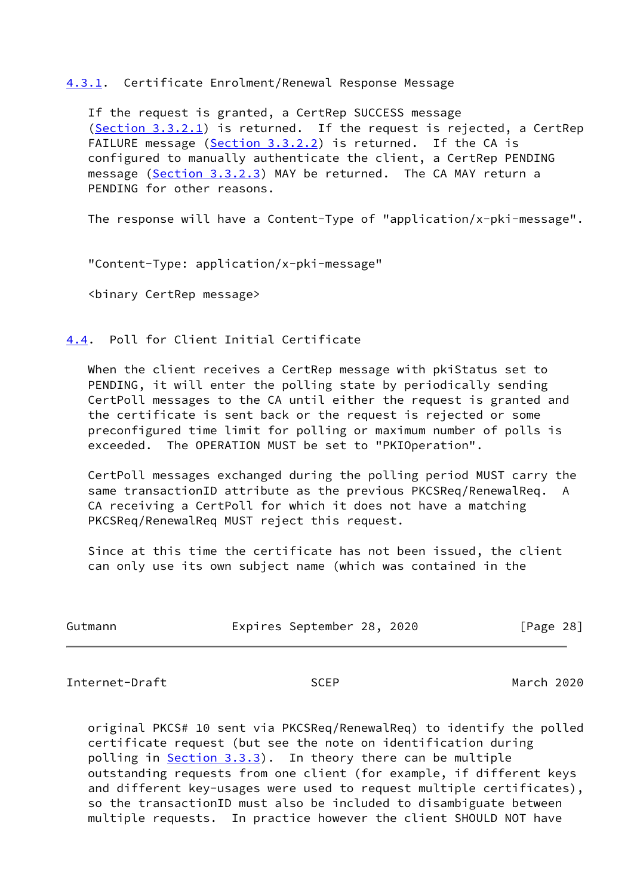### <span id="page-31-0"></span>[4.3.1](#page-31-0). Certificate Enrolment/Renewal Response Message

 If the request is granted, a CertRep SUCCESS message [\(Section 3.3.2.1](#page-21-1)) is returned. If the request is rejected, a CertRep FAILURE message [\(Section 3.3.2.2](#page-22-0)) is returned. If the CA is configured to manually authenticate the client, a CertRep PENDING message [\(Section 3.3.2.3](#page-22-1)) MAY be returned. The CA MAY return a PENDING for other reasons.

The response will have a Content-Type of "application/x-pki-message".

"Content-Type: application/x-pki-message"

<binary CertRep message>

# <span id="page-31-1"></span>[4.4](#page-31-1). Poll for Client Initial Certificate

 When the client receives a CertRep message with pkiStatus set to PENDING, it will enter the polling state by periodically sending CertPoll messages to the CA until either the request is granted and the certificate is sent back or the request is rejected or some preconfigured time limit for polling or maximum number of polls is exceeded. The OPERATION MUST be set to "PKIOperation".

 CertPoll messages exchanged during the polling period MUST carry the same transactionID attribute as the previous PKCSReq/RenewalReq. A CA receiving a CertPoll for which it does not have a matching PKCSReq/RenewalReq MUST reject this request.

 Since at this time the certificate has not been issued, the client can only use its own subject name (which was contained in the

| Gutmann |  | Expires September 28, 2020 |  |  | [Page 28] |  |
|---------|--|----------------------------|--|--|-----------|--|
|---------|--|----------------------------|--|--|-----------|--|

<span id="page-31-2"></span>Internet-Draft SCEP March 2020

 original PKCS# 10 sent via PKCSReq/RenewalReq) to identify the polled certificate request (but see the note on identification during polling in [Section 3.3.3\)](#page-22-2). In theory there can be multiple outstanding requests from one client (for example, if different keys and different key-usages were used to request multiple certificates), so the transactionID must also be included to disambiguate between multiple requests. In practice however the client SHOULD NOT have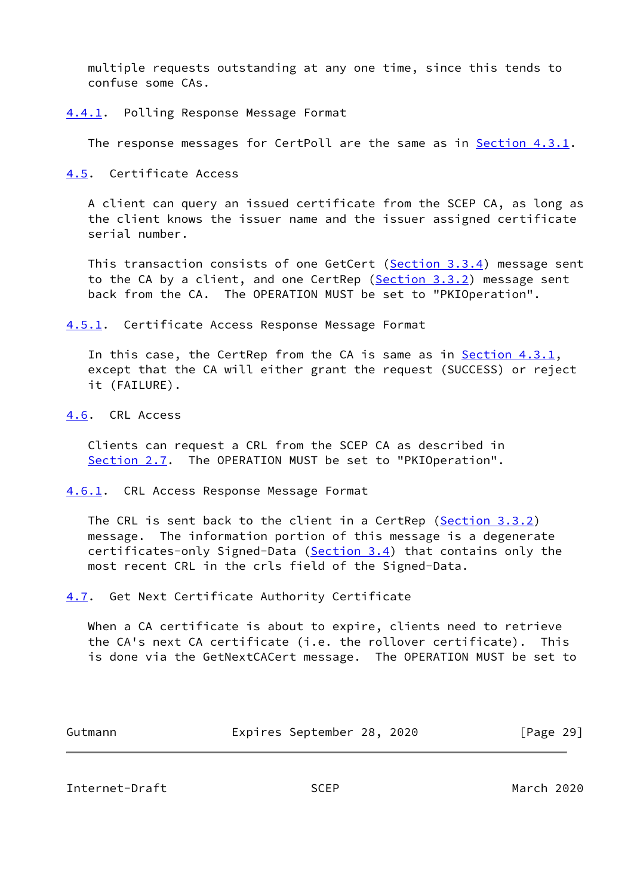multiple requests outstanding at any one time, since this tends to confuse some CAs.

<span id="page-32-0"></span>[4.4.1](#page-32-0). Polling Response Message Format

The response messages for CertPoll are the same as in **Section 4.3.1**.

<span id="page-32-1"></span>[4.5](#page-32-1). Certificate Access

 A client can query an issued certificate from the SCEP CA, as long as the client knows the issuer name and the issuer assigned certificate serial number.

This transaction consists of one GetCert [\(Section 3.3.4\)](#page-23-0) message sent to the CA by a client, and one CertRep [\(Section 3.3.2](#page-21-0)) message sent back from the CA. The OPERATION MUST be set to "PKIOperation".

<span id="page-32-2"></span>[4.5.1](#page-32-2). Certificate Access Response Message Format

 In this case, the CertRep from the CA is same as in [Section 4.3.1,](#page-31-0) except that the CA will either grant the request (SUCCESS) or reject it (FAILURE).

<span id="page-32-3"></span>[4.6](#page-32-3). CRL Access

 Clients can request a CRL from the SCEP CA as described in [Section 2.7](#page-11-0). The OPERATION MUST be set to "PKIOperation".

<span id="page-32-4"></span>[4.6.1](#page-32-4). CRL Access Response Message Format

 The CRL is sent back to the client in a CertRep [\(Section 3.3.2](#page-21-0)) message. The information portion of this message is a degenerate certificates-only Signed-Data ([Section 3.4](#page-23-1)) that contains only the most recent CRL in the crls field of the Signed-Data.

<span id="page-32-5"></span>[4.7](#page-32-5). Get Next Certificate Authority Certificate

 When a CA certificate is about to expire, clients need to retrieve the CA's next CA certificate (i.e. the rollover certificate). This is done via the GetNextCACert message. The OPERATION MUST be set to

| Gutmann | Expires September 28, 2020 |  | [Page 29] |  |
|---------|----------------------------|--|-----------|--|
|         |                            |  |           |  |

<span id="page-32-6"></span>Internet-Draft SCEP March 2020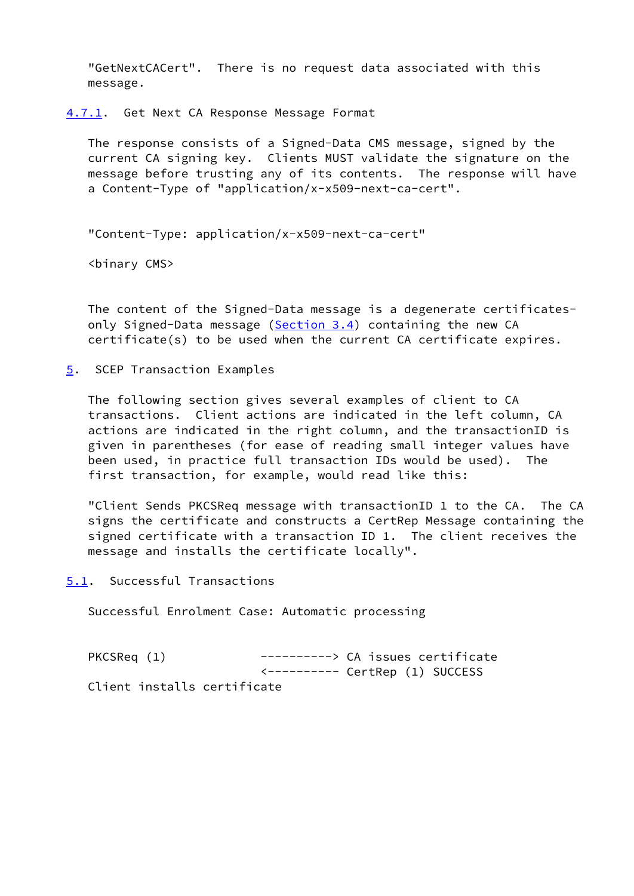"GetNextCACert". There is no request data associated with this message.

<span id="page-33-0"></span>[4.7.1](#page-33-0). Get Next CA Response Message Format

 The response consists of a Signed-Data CMS message, signed by the current CA signing key. Clients MUST validate the signature on the message before trusting any of its contents. The response will have a Content-Type of "application/x-x509-next-ca-cert".

"Content-Type: application/x-x509-next-ca-cert"

<binary CMS>

 The content of the Signed-Data message is a degenerate certificates only Signed-Data message [\(Section 3.4](#page-23-1)) containing the new CA certificate(s) to be used when the current CA certificate expires.

<span id="page-33-1"></span>[5](#page-33-1). SCEP Transaction Examples

 The following section gives several examples of client to CA transactions. Client actions are indicated in the left column, CA actions are indicated in the right column, and the transactionID is given in parentheses (for ease of reading small integer values have been used, in practice full transaction IDs would be used). The first transaction, for example, would read like this:

 "Client Sends PKCSReq message with transactionID 1 to the CA. The CA signs the certificate and constructs a CertRep Message containing the signed certificate with a transaction ID 1. The client receives the message and installs the certificate locally".

<span id="page-33-2"></span>[5.1](#page-33-2). Successful Transactions

Successful Enrolment Case: Automatic processing

PKCSReq (1) ----------> CA issues certificate <---------- CertRep (1) SUCCESS Client installs certificate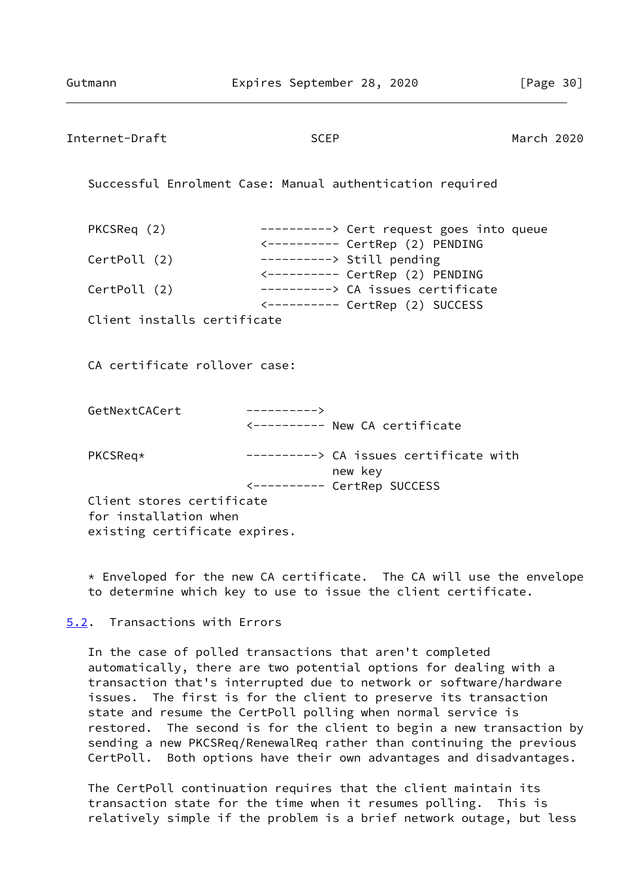<span id="page-34-1"></span>

| Internet-Draft                                     | <b>SCEP</b>                                                         | March 2020                              |  |
|----------------------------------------------------|---------------------------------------------------------------------|-----------------------------------------|--|
|                                                    | Successful Enrolment Case: Manual authentication required           |                                         |  |
| PKCSReq (2)                                        | <--------- CertRep (2) PENDING                                      | ---------> Cert request goes into queue |  |
| CertPoll (2)                                       | ----------> Still pending<br><---------- CertRep (2) PENDING        |                                         |  |
| CertPoll (2)                                       | ----------> CA issues certificate<br><--------- CertRep (2) SUCCESS |                                         |  |
| Client installs certificate                        |                                                                     |                                         |  |
| CA certificate rollover case:                      |                                                                     |                                         |  |
| GetNextCACert                                      | $---------$ >                                                       |                                         |  |
|                                                    | <---------- New CA certificate                                      |                                         |  |
| PKCSReq*                                           | ----------> CA issues certificate with<br>new key                   |                                         |  |
|                                                    | <---------- CertRep SUCCESS                                         |                                         |  |
| Client stores certificate<br>for installation when |                                                                     |                                         |  |
| existing certificate expires.                      |                                                                     |                                         |  |

 \* Enveloped for the new CA certificate. The CA will use the envelope to determine which key to use to issue the client certificate.

<span id="page-34-0"></span>[5.2](#page-34-0). Transactions with Errors

 In the case of polled transactions that aren't completed automatically, there are two potential options for dealing with a transaction that's interrupted due to network or software/hardware issues. The first is for the client to preserve its transaction state and resume the CertPoll polling when normal service is restored. The second is for the client to begin a new transaction by sending a new PKCSReq/RenewalReq rather than continuing the previous CertPoll. Both options have their own advantages and disadvantages.

 The CertPoll continuation requires that the client maintain its transaction state for the time when it resumes polling. This is relatively simple if the problem is a brief network outage, but less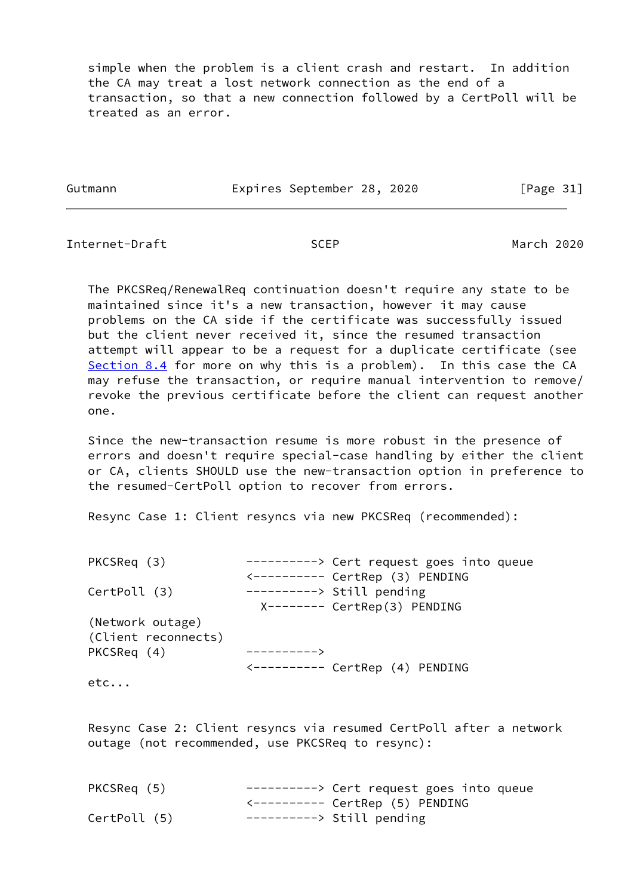simple when the problem is a client crash and restart. In addition the CA may treat a lost network connection as the end of a transaction, so that a new connection followed by a CertPoll will be treated as an error.

Gutmann Expires September 28, 2020 [Page 31]

Internet-Draft SCEP SOME SOFT March 2020

 The PKCSReq/RenewalReq continuation doesn't require any state to be maintained since it's a new transaction, however it may cause problems on the CA side if the certificate was successfully issued but the client never received it, since the resumed transaction attempt will appear to be a request for a duplicate certificate (see [Section 8.4](#page-45-0) for more on why this is a problem). In this case the CA may refuse the transaction, or require manual intervention to remove/ revoke the previous certificate before the client can request another one.

 Since the new-transaction resume is more robust in the presence of errors and doesn't require special-case handling by either the client or CA, clients SHOULD use the new-transaction option in preference to the resumed-CertPoll option to recover from errors.

Resync Case 1: Client resyncs via new PKCSReq (recommended):

| PKCSReq (3)         | ---------> Cert request goes into queue      |
|---------------------|----------------------------------------------|
|                     | <--------- CertRep (3) PENDING               |
| CertPoll (3)        | $------>$ Still pending                      |
|                     | X-------- CertRep(3) PENDING                 |
| (Network outage)    |                                              |
| (Client reconnects) |                                              |
| PKCSReq (4)         |                                              |
|                     | $\leftarrow$ --------- CertRep $(4)$ PENDING |
| $\sim$ + $\sim$     |                                              |

etc...

 Resync Case 2: Client resyncs via resumed CertPoll after a network outage (not recommended, use PKCSReq to resync):

| PKCSReq (5)  | $------>$ Cert request goes into queue |
|--------------|----------------------------------------|
|              |                                        |
| CertPoll (5) | $------>$ Still pending                |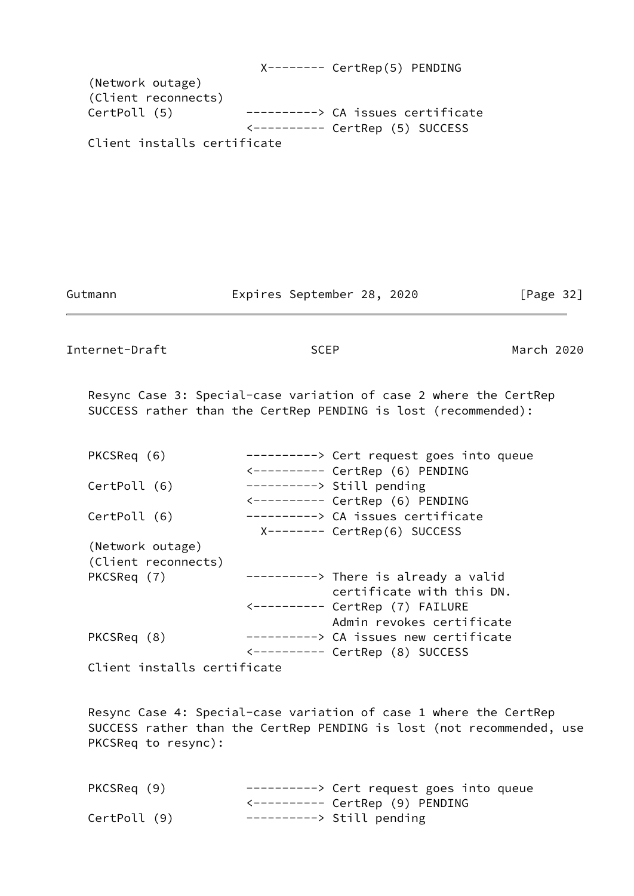X-------- CertRep(5) PENDING (Network outage) (Client reconnects) CertPoll (5) ----------> CA issues certificate <---------- CertRep (5) SUCCESS Client installs certificate

Gutmann **Expires September 28, 2020** [Page 32]

Internet-Draft SCEP March 2020

 Resync Case 3: Special-case variation of case 2 where the CertRep SUCCESS rather than the CertRep PENDING is lost (recommended):

| PKCSReq (6)         | ---------> Cert request goes into queue |
|---------------------|-----------------------------------------|
|                     | <--------- CertRep (6) PENDING          |
| CertPoll (6)        | ----------> Still pending               |
|                     | <--------- CertRep (6) PENDING          |
| CertPoll (6)        | ----------> CA issues certificate       |
|                     | X-------- CertRep(6) SUCCESS            |
| (Network outage)    |                                         |
| (Client reconnects) |                                         |
| PKCSReq (7)         | $------>$ There is already a valid      |
|                     | certificate with this DN.               |
|                     |                                         |
|                     | Admin revokes certificate               |
| PKCSReq (8)         | ---------> CA issues new certificate    |
|                     |                                         |
|                     |                                         |

Client installs certificate

 Resync Case 4: Special-case variation of case 1 where the CertRep SUCCESS rather than the CertRep PENDING is lost (not recommended, use PKCSReq to resync):

| PKCSReq (9)  | $------>$ Cert request goes into queue |
|--------------|----------------------------------------|
|              |                                        |
| CertPoll (9) | ----------> Still pending              |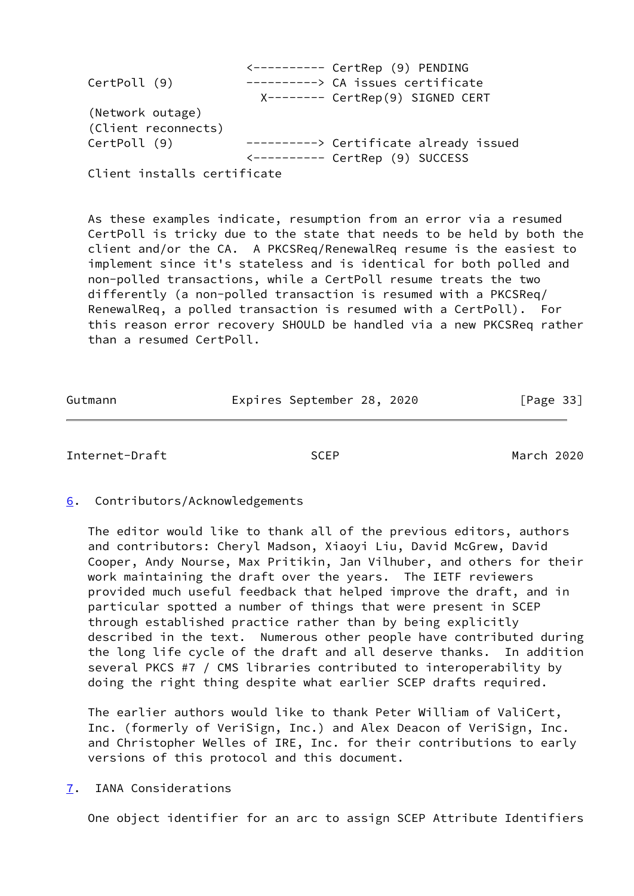|                             | $\leftarrow$ --------- CertRep (9) PENDING |
|-----------------------------|--------------------------------------------|
| CertPoll (9)                | ----------> CA issues certificate          |
|                             | X-------- CertRep(9) SIGNED CERT           |
| (Network outage)            |                                            |
| (Client reconnects)         |                                            |
| CertPoll (9)                | ---------> Certificate already issued      |
|                             | <--------- CertRep (9) SUCCESS             |
| Client installs certificate |                                            |

 As these examples indicate, resumption from an error via a resumed CertPoll is tricky due to the state that needs to be held by both the client and/or the CA. A PKCSReq/RenewalReq resume is the easiest to implement since it's stateless and is identical for both polled and non-polled transactions, while a CertPoll resume treats the two differently (a non-polled transaction is resumed with a PKCSReq/ RenewalReq, a polled transaction is resumed with a CertPoll). For this reason error recovery SHOULD be handled via a new PKCSReq rather than a resumed CertPoll.

| Gutmann | Expires September 28, 2020 |  | [Page 33] |  |
|---------|----------------------------|--|-----------|--|

<span id="page-37-1"></span>Internet-Draft SCEP March 2020

## <span id="page-37-0"></span>[6](#page-37-0). Contributors/Acknowledgements

 The editor would like to thank all of the previous editors, authors and contributors: Cheryl Madson, Xiaoyi Liu, David McGrew, David Cooper, Andy Nourse, Max Pritikin, Jan Vilhuber, and others for their work maintaining the draft over the years. The IETF reviewers provided much useful feedback that helped improve the draft, and in particular spotted a number of things that were present in SCEP through established practice rather than by being explicitly described in the text. Numerous other people have contributed during the long life cycle of the draft and all deserve thanks. In addition several PKCS #7 / CMS libraries contributed to interoperability by doing the right thing despite what earlier SCEP drafts required.

 The earlier authors would like to thank Peter William of ValiCert, Inc. (formerly of VeriSign, Inc.) and Alex Deacon of VeriSign, Inc. and Christopher Welles of IRE, Inc. for their contributions to early versions of this protocol and this document.

# <span id="page-37-2"></span>[7](#page-37-2). IANA Considerations

One object identifier for an arc to assign SCEP Attribute Identifiers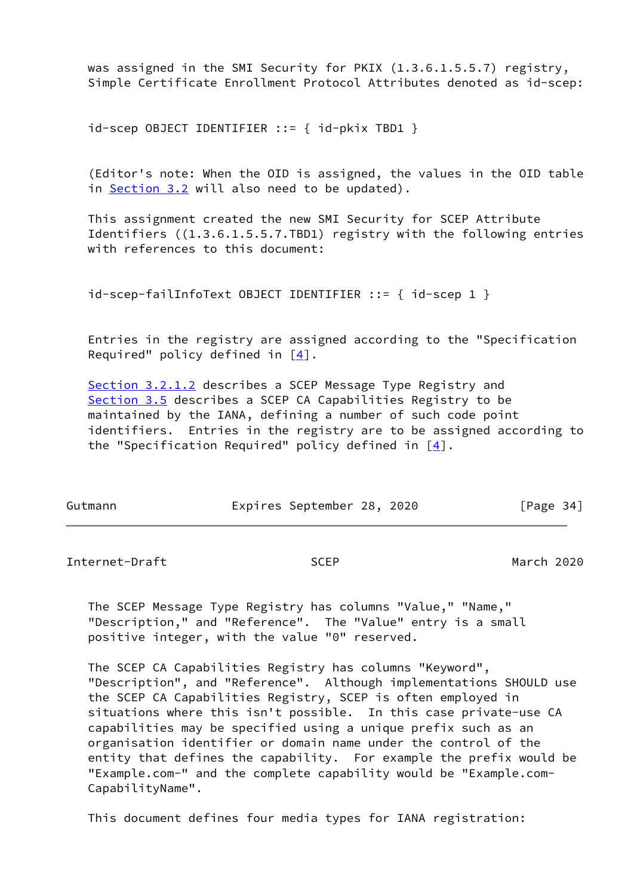was assigned in the SMI Security for PKIX (1.3.6.1.5.5.7) registry, Simple Certificate Enrollment Protocol Attributes denoted as id-scep:

id-scep OBJECT IDENTIFIER ::= { id-pkix TBD1 }

 (Editor's note: When the OID is assigned, the values in the OID table in [Section 3.2](#page-15-0) will also need to be updated).

 This assignment created the new SMI Security for SCEP Attribute Identifiers ((1.3.6.1.5.5.7.TBD1) registry with the following entries with references to this document:

```
 id-scep-failInfoText OBJECT IDENTIFIER ::= { id-scep 1 }
```
 Entries in the registry are assigned according to the "Specification Required" policy defined in  $[4]$  $[4]$ .

[Section 3.2.1.2](#page-18-0) describes a SCEP Message Type Registry and [Section 3.5](#page-24-0) describes a SCEP CA Capabilities Registry to be maintained by the IANA, defining a number of such code point identifiers. Entries in the registry are to be assigned according to the "Specification Required" policy defined in  $[4]$  $[4]$ .

| Gutmann |  | Expires September 28, 2020 |  |  | [Page 34] |  |
|---------|--|----------------------------|--|--|-----------|--|
|---------|--|----------------------------|--|--|-----------|--|

<span id="page-38-0"></span>Internet-Draft SCEP March 2020

 The SCEP Message Type Registry has columns "Value," "Name," "Description," and "Reference". The "Value" entry is a small positive integer, with the value "0" reserved.

 The SCEP CA Capabilities Registry has columns "Keyword", "Description", and "Reference". Although implementations SHOULD use the SCEP CA Capabilities Registry, SCEP is often employed in situations where this isn't possible. In this case private-use CA capabilities may be specified using a unique prefix such as an organisation identifier or domain name under the control of the entity that defines the capability. For example the prefix would be "Example.com-" and the complete capability would be "Example.com- CapabilityName".

This document defines four media types for IANA registration: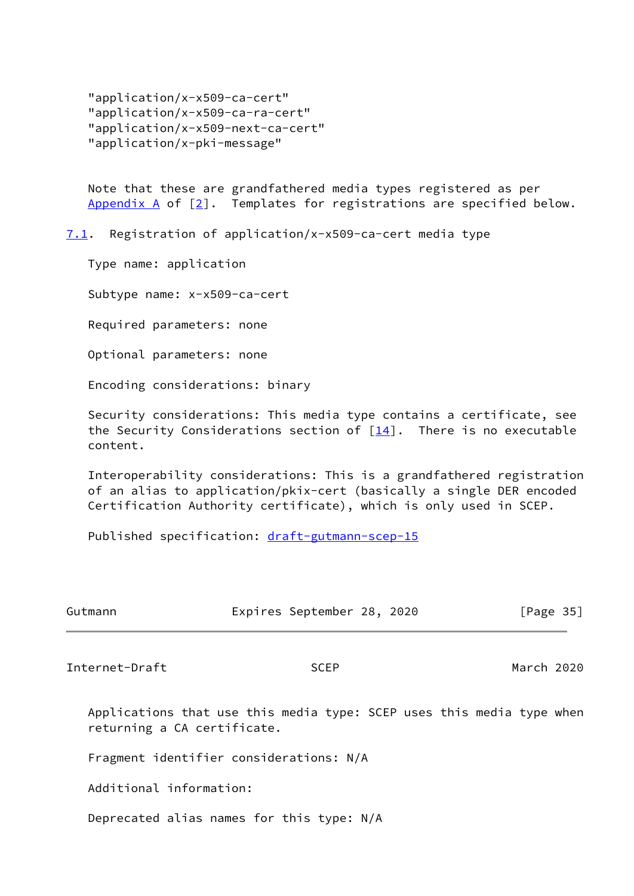"application/x-x509-ca-cert" "application/x-x509-ca-ra-cert" "application/x-x509-next-ca-cert" "application/x-pki-message"

 Note that these are grandfathered media types registered as per Appendix  $A$  of  $[2]$  $[2]$ . Templates for registrations are specified below.

<span id="page-39-0"></span>[7.1](#page-39-0). Registration of application/x-x509-ca-cert media type

Type name: application

Subtype name: x-x509-ca-cert

Required parameters: none

Optional parameters: none

Encoding considerations: binary

 Security considerations: This media type contains a certificate, see the Security Considerations section of  $[14]$  $[14]$ . There is no executable content.

 Interoperability considerations: This is a grandfathered registration of an alias to application/pkix-cert (basically a single DER encoded Certification Authority certificate), which is only used in SCEP.

Published specification: [draft-gutmann-scep-15](https://datatracker.ietf.org/doc/pdf/draft-gutmann-scep-15)

| Gutmann                     | Expires September 28, 2020                                            | [Page $35$ ] |
|-----------------------------|-----------------------------------------------------------------------|--------------|
| Internet-Draft              | <b>SCEP</b>                                                           | March 2020   |
| returning a CA certificate. | Applications that use this media type: SCEP uses this media type when |              |

Fragment identifier considerations: N/A

Additional information:

Deprecated alias names for this type: N/A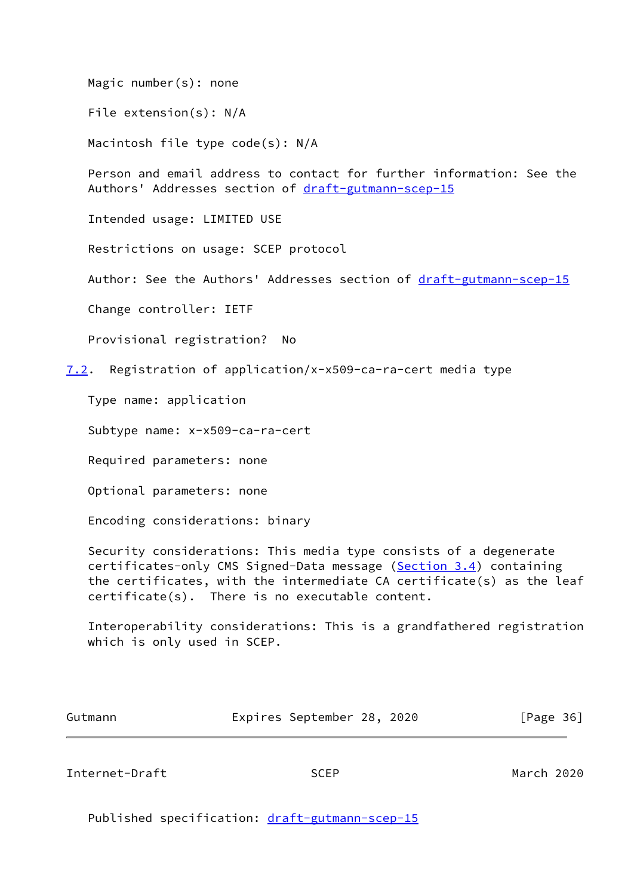Magic number(s): none

File extension(s): N/A

Macintosh file type code(s): N/A

 Person and email address to contact for further information: See the Authors' Addresses section of [draft-gutmann-scep-15](https://datatracker.ietf.org/doc/pdf/draft-gutmann-scep-15)

Intended usage: LIMITED USE

Restrictions on usage: SCEP protocol

Author: See the Authors' Addresses section of [draft-gutmann-scep-15](https://datatracker.ietf.org/doc/pdf/draft-gutmann-scep-15)

Change controller: IETF

Provisional registration? No

<span id="page-40-1"></span>[7.2](#page-40-1). Registration of application/x-x509-ca-ra-cert media type

Type name: application

Subtype name: x-x509-ca-ra-cert

Required parameters: none

Optional parameters: none

Encoding considerations: binary

 Security considerations: This media type consists of a degenerate certificates-only CMS Signed-Data message ([Section 3.4](#page-23-1)) containing the certificates, with the intermediate CA certificate(s) as the leaf certificate(s). There is no executable content.

 Interoperability considerations: This is a grandfathered registration which is only used in SCEP.

| Gutmann | Expires September 28, 2020 |  | [Page 36] |
|---------|----------------------------|--|-----------|
|         |                            |  |           |

<span id="page-40-0"></span>Internet-Draft SCEP March 2020

Published specification: [draft-gutmann-scep-15](https://datatracker.ietf.org/doc/pdf/draft-gutmann-scep-15)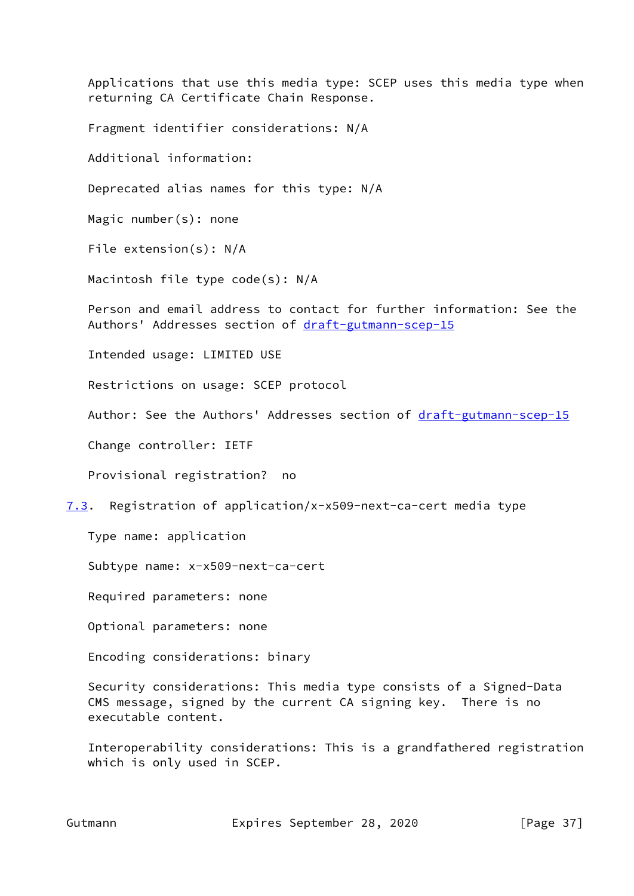returning CA Certificate Chain Response. Fragment identifier considerations: N/A Additional information: Deprecated alias names for this type: N/A Magic number(s): none File extension(s): N/A Macintosh file type code(s): N/A Person and email address to contact for further information: See the Authors' Addresses section of [draft-gutmann-scep-15](https://datatracker.ietf.org/doc/pdf/draft-gutmann-scep-15) Intended usage: LIMITED USE Restrictions on usage: SCEP protocol Author: See the Authors' Addresses section of [draft-gutmann-scep-15](https://datatracker.ietf.org/doc/pdf/draft-gutmann-scep-15) Change controller: IETF Provisional registration? no

Applications that use this media type: SCEP uses this media type when

<span id="page-41-0"></span>[7.3](#page-41-0). Registration of application/x-x509-next-ca-cert media type

Type name: application

Subtype name: x-x509-next-ca-cert

Required parameters: none

Optional parameters: none

Encoding considerations: binary

 Security considerations: This media type consists of a Signed-Data CMS message, signed by the current CA signing key. There is no executable content.

 Interoperability considerations: This is a grandfathered registration which is only used in SCEP.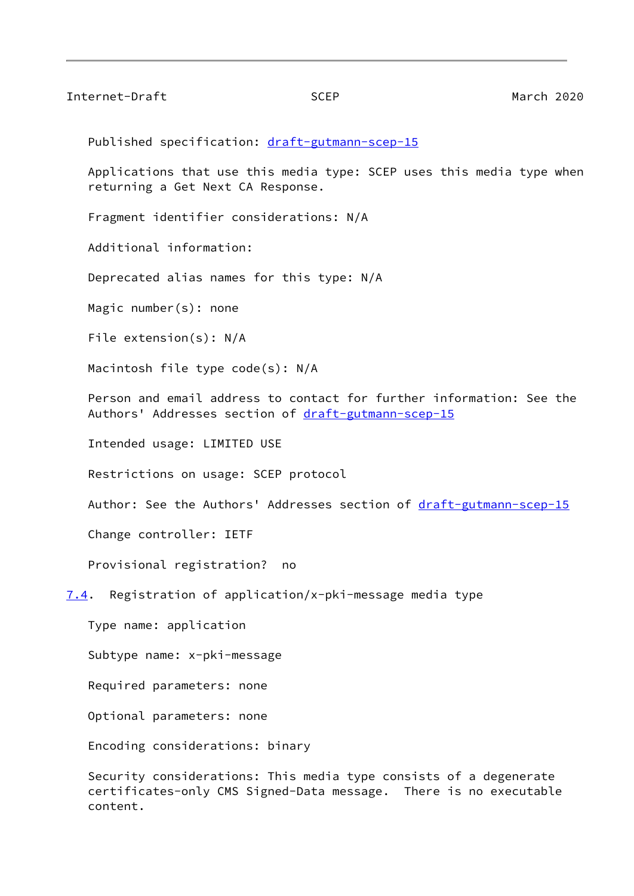<span id="page-42-1"></span>Internet-Draft SCEP March 2020

Published specification: [draft-gutmann-scep-15](https://datatracker.ietf.org/doc/pdf/draft-gutmann-scep-15)

 Applications that use this media type: SCEP uses this media type when returning a Get Next CA Response.

Fragment identifier considerations: N/A

Additional information:

Deprecated alias names for this type: N/A

Magic number(s): none

File extension(s): N/A

Macintosh file type code(s): N/A

 Person and email address to contact for further information: See the Authors' Addresses section of [draft-gutmann-scep-15](https://datatracker.ietf.org/doc/pdf/draft-gutmann-scep-15)

Intended usage: LIMITED USE

Restrictions on usage: SCEP protocol

Author: See the Authors' Addresses section of [draft-gutmann-scep-15](https://datatracker.ietf.org/doc/pdf/draft-gutmann-scep-15)

Change controller: IETF

Provisional registration? no

<span id="page-42-0"></span>[7.4](#page-42-0). Registration of application/x-pki-message media type

Type name: application

Subtype name: x-pki-message

Required parameters: none

Optional parameters: none

Encoding considerations: binary

 Security considerations: This media type consists of a degenerate certificates-only CMS Signed-Data message. There is no executable content.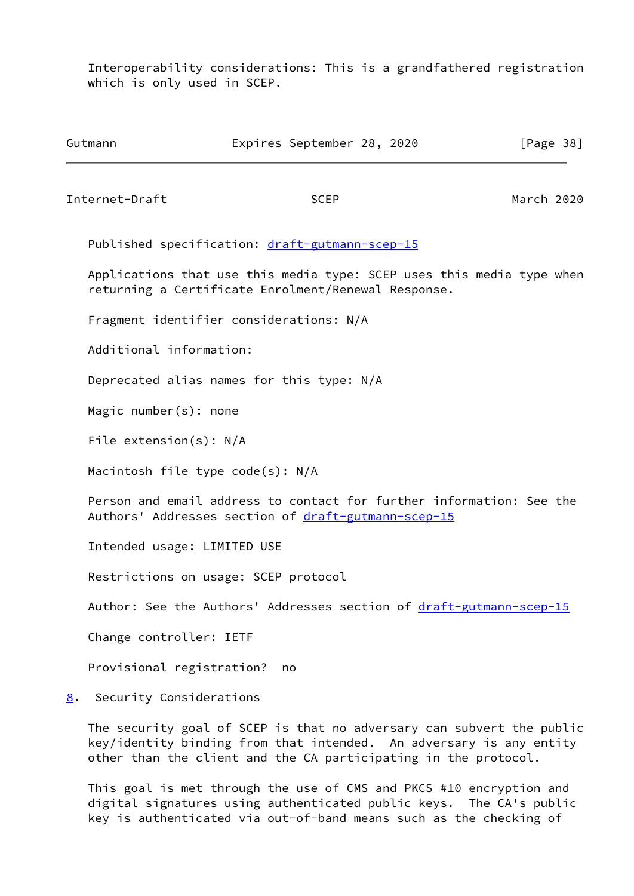Interoperability considerations: This is a grandfathered registration which is only used in SCEP.

<span id="page-43-1"></span>

| Gutmann                            | Expires September 28, 2020                                                                                                                                                                                      | [Page $38$ ] |
|------------------------------------|-----------------------------------------------------------------------------------------------------------------------------------------------------------------------------------------------------------------|--------------|
| Internet-Draft                     | <b>SCEP</b>                                                                                                                                                                                                     | March 2020   |
|                                    | Published specification: draft-gutmann-scep-15                                                                                                                                                                  |              |
|                                    | Applications that use this media type: SCEP uses this media type when<br>returning a Certificate Enrolment/Renewal Response.                                                                                    |              |
|                                    | Fragment identifier considerations: N/A                                                                                                                                                                         |              |
| Additional information:            |                                                                                                                                                                                                                 |              |
|                                    | Deprecated alias names for this type: N/A                                                                                                                                                                       |              |
| Magic number $(s)$ : none          |                                                                                                                                                                                                                 |              |
| File extension(s): $N/A$           |                                                                                                                                                                                                                 |              |
| Macintosh file type $code(s): N/A$ |                                                                                                                                                                                                                 |              |
|                                    | Person and email address to contact for further information: See the<br>Authors' Addresses section of draft-gutmann-scep-15                                                                                     |              |
| Intended usage: LIMITED USE        |                                                                                                                                                                                                                 |              |
|                                    | Restrictions on usage: SCEP protocol                                                                                                                                                                            |              |
|                                    | Author: See the Authors' Addresses section of draft-gutmann-scep-15                                                                                                                                             |              |
| Change controller: IETF            |                                                                                                                                                                                                                 |              |
| Provisional registration?          | no                                                                                                                                                                                                              |              |
| Security Considerations<br>8.      |                                                                                                                                                                                                                 |              |
|                                    | The security goal of SCEP is that no adversary can subvert the public<br>key/identity binding from that intended. An adversary is any entity<br>other than the client and the CA participating in the protocol. |              |
|                                    | This goal is met through the use of CMS and PKCS #10 encryption and<br>digital signatures using authenticated public keys. The CA's public                                                                      |              |

<span id="page-43-0"></span>key is authenticated via out-of-band means such as the checking of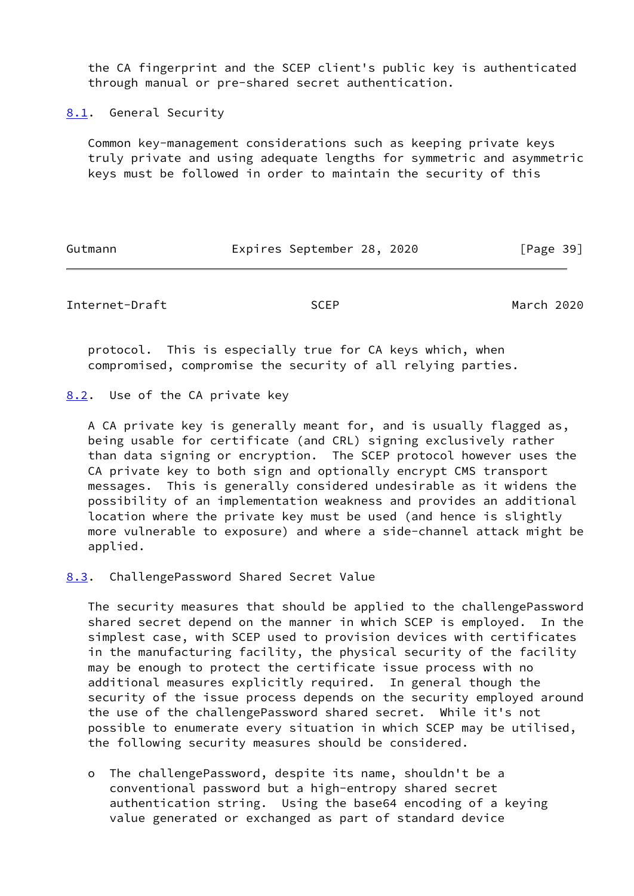the CA fingerprint and the SCEP client's public key is authenticated through manual or pre-shared secret authentication.

<span id="page-44-0"></span>[8.1](#page-44-0). General Security

 Common key-management considerations such as keeping private keys truly private and using adequate lengths for symmetric and asymmetric keys must be followed in order to maintain the security of this

Gutmann **Expires September 28, 2020** [Page 39]

<span id="page-44-2"></span>Internet-Draft SCEP March 2020

 protocol. This is especially true for CA keys which, when compromised, compromise the security of all relying parties.

<span id="page-44-1"></span>[8.2](#page-44-1). Use of the CA private key

 A CA private key is generally meant for, and is usually flagged as, being usable for certificate (and CRL) signing exclusively rather than data signing or encryption. The SCEP protocol however uses the CA private key to both sign and optionally encrypt CMS transport messages. This is generally considered undesirable as it widens the possibility of an implementation weakness and provides an additional location where the private key must be used (and hence is slightly more vulnerable to exposure) and where a side-channel attack might be applied.

<span id="page-44-3"></span>[8.3](#page-44-3). ChallengePassword Shared Secret Value

 The security measures that should be applied to the challengePassword shared secret depend on the manner in which SCEP is employed. In the simplest case, with SCEP used to provision devices with certificates in the manufacturing facility, the physical security of the facility may be enough to protect the certificate issue process with no additional measures explicitly required. In general though the security of the issue process depends on the security employed around the use of the challengePassword shared secret. While it's not possible to enumerate every situation in which SCEP may be utilised, the following security measures should be considered.

 o The challengePassword, despite its name, shouldn't be a conventional password but a high-entropy shared secret authentication string. Using the base64 encoding of a keying value generated or exchanged as part of standard device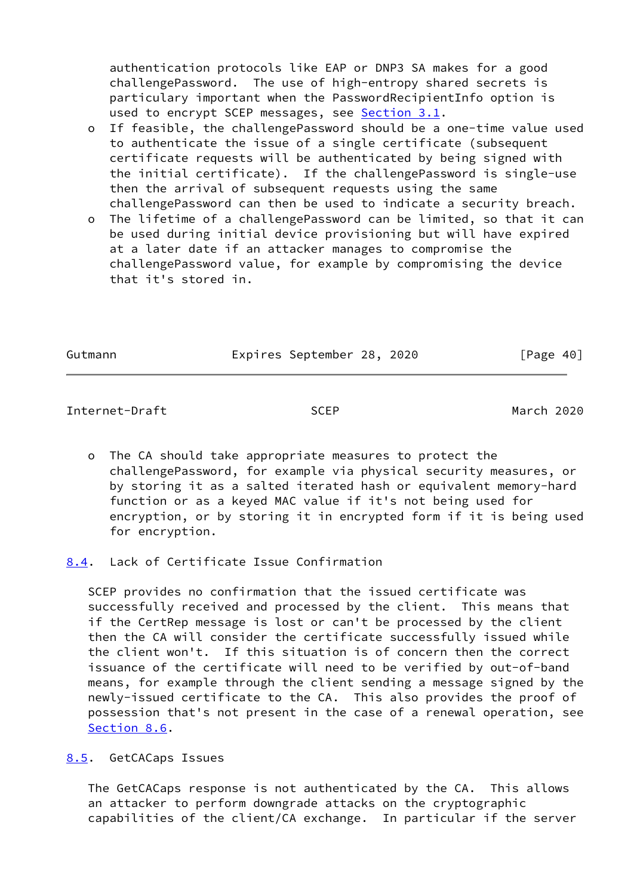authentication protocols like EAP or DNP3 SA makes for a good challengePassword. The use of high-entropy shared secrets is particulary important when the PasswordRecipientInfo option is used to encrypt SCEP messages, see [Section 3.1](#page-14-0).

 o If feasible, the challengePassword should be a one-time value used to authenticate the issue of a single certificate (subsequent certificate requests will be authenticated by being signed with the initial certificate). If the challengePassword is single-use then the arrival of subsequent requests using the same challengePassword can then be used to indicate a security breach.

 o The lifetime of a challengePassword can be limited, so that it can be used during initial device provisioning but will have expired at a later date if an attacker manages to compromise the challengePassword value, for example by compromising the device that it's stored in.

Gutmann **Expires September 28, 2020** [Page 40]

<span id="page-45-1"></span>Internet-Draft SCEP March 2020

- o The CA should take appropriate measures to protect the challengePassword, for example via physical security measures, or by storing it as a salted iterated hash or equivalent memory-hard function or as a keyed MAC value if it's not being used for encryption, or by storing it in encrypted form if it is being used for encryption.
- <span id="page-45-0"></span>[8.4](#page-45-0). Lack of Certificate Issue Confirmation

 SCEP provides no confirmation that the issued certificate was successfully received and processed by the client. This means that if the CertRep message is lost or can't be processed by the client then the CA will consider the certificate successfully issued while the client won't. If this situation is of concern then the correct issuance of the certificate will need to be verified by out-of-band means, for example through the client sending a message signed by the newly-issued certificate to the CA. This also provides the proof of possession that's not present in the case of a renewal operation, see [Section 8.6](#page-46-0).

# <span id="page-45-2"></span>[8.5](#page-45-2). GetCACaps Issues

 The GetCACaps response is not authenticated by the CA. This allows an attacker to perform downgrade attacks on the cryptographic capabilities of the client/CA exchange. In particular if the server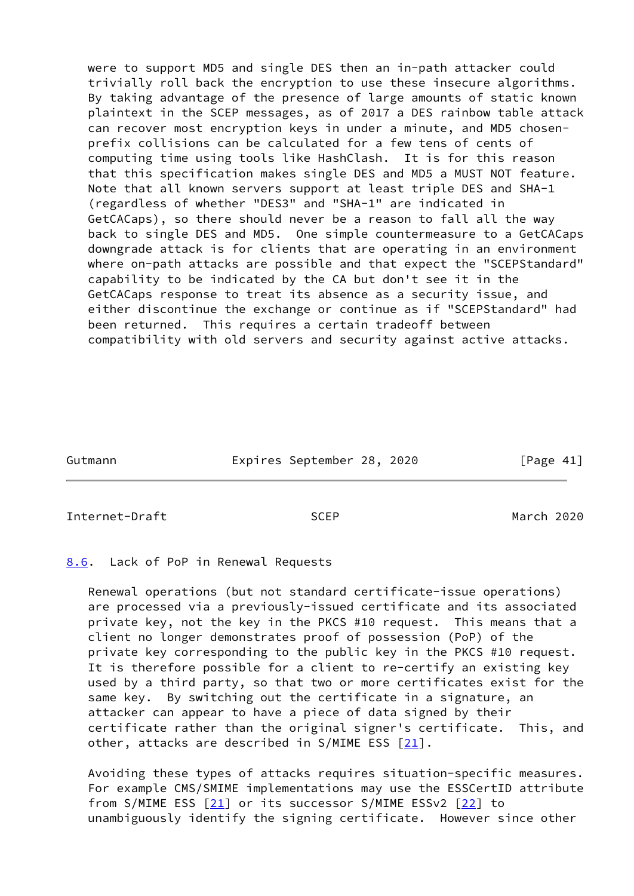were to support MD5 and single DES then an in-path attacker could trivially roll back the encryption to use these insecure algorithms. By taking advantage of the presence of large amounts of static known plaintext in the SCEP messages, as of 2017 a DES rainbow table attack can recover most encryption keys in under a minute, and MD5 chosen prefix collisions can be calculated for a few tens of cents of computing time using tools like HashClash. It is for this reason that this specification makes single DES and MD5 a MUST NOT feature. Note that all known servers support at least triple DES and SHA-1 (regardless of whether "DES3" and "SHA-1" are indicated in GetCACaps), so there should never be a reason to fall all the way back to single DES and MD5. One simple countermeasure to a GetCACaps downgrade attack is for clients that are operating in an environment where on-path attacks are possible and that expect the "SCEPStandard" capability to be indicated by the CA but don't see it in the GetCACaps response to treat its absence as a security issue, and either discontinue the exchange or continue as if "SCEPStandard" had been returned. This requires a certain tradeoff between compatibility with old servers and security against active attacks.

| Gutmann | Expires September 28, 2020 | [Page 41] |
|---------|----------------------------|-----------|
|         |                            |           |

<span id="page-46-1"></span>Internet-Draft SCEP March 2020

<span id="page-46-0"></span>[8.6](#page-46-0). Lack of PoP in Renewal Requests

 Renewal operations (but not standard certificate-issue operations) are processed via a previously-issued certificate and its associated private key, not the key in the PKCS #10 request. This means that a client no longer demonstrates proof of possession (PoP) of the private key corresponding to the public key in the PKCS #10 request. It is therefore possible for a client to re-certify an existing key used by a third party, so that two or more certificates exist for the same key. By switching out the certificate in a signature, an attacker can appear to have a piece of data signed by their certificate rather than the original signer's certificate. This, and other, attacks are described in S/MIME ESS [[21\]](#page-50-9).

 Avoiding these types of attacks requires situation-specific measures. For example CMS/SMIME implementations may use the ESSCertID attribute from S/MIME ESS [\[21\]](#page-50-9) or its successor S/MIME ESSv2 [[22\]](#page-50-10) to unambiguously identify the signing certificate. However since other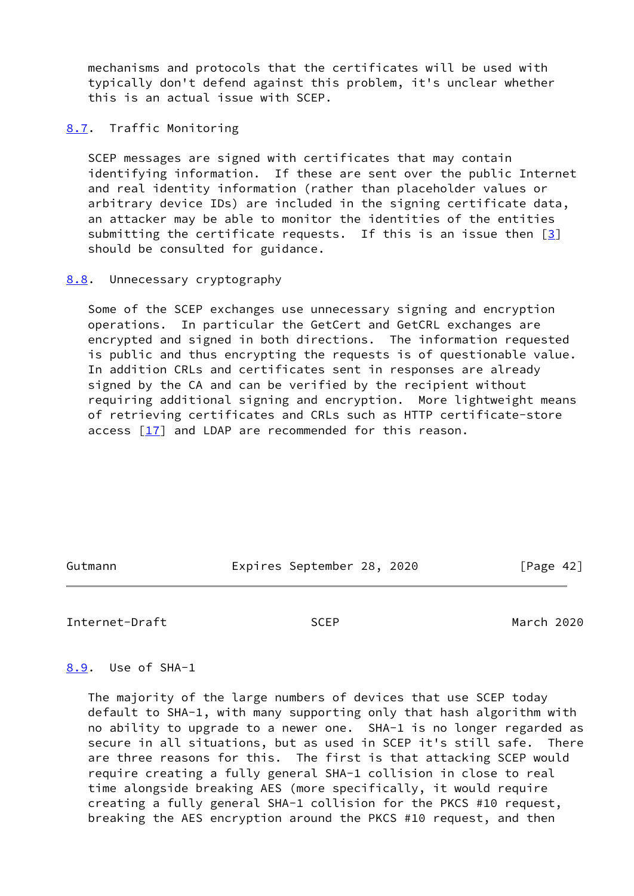mechanisms and protocols that the certificates will be used with typically don't defend against this problem, it's unclear whether this is an actual issue with SCEP.

## <span id="page-47-0"></span>[8.7](#page-47-0). Traffic Monitoring

 SCEP messages are signed with certificates that may contain identifying information. If these are sent over the public Internet and real identity information (rather than placeholder values or arbitrary device IDs) are included in the signing certificate data, an attacker may be able to monitor the identities of the entities submitting the certificate requests. If this is an issue then  $[3]$  $[3]$ should be consulted for guidance.

## <span id="page-47-1"></span>[8.8](#page-47-1). Unnecessary cryptography

 Some of the SCEP exchanges use unnecessary signing and encryption operations. In particular the GetCert and GetCRL exchanges are encrypted and signed in both directions. The information requested is public and thus encrypting the requests is of questionable value. In addition CRLs and certificates sent in responses are already signed by the CA and can be verified by the recipient without requiring additional signing and encryption. More lightweight means of retrieving certificates and CRLs such as HTTP certificate-store access  $[17]$  $[17]$  and LDAP are recommended for this reason.

Gutmann Expires September 28, 2020 [Page 42]

<span id="page-47-3"></span>Internet-Draft SCEP March 2020

### <span id="page-47-2"></span>[8.9](#page-47-2). Use of SHA-1

 The majority of the large numbers of devices that use SCEP today default to SHA-1, with many supporting only that hash algorithm with no ability to upgrade to a newer one. SHA-1 is no longer regarded as secure in all situations, but as used in SCEP it's still safe. There are three reasons for this. The first is that attacking SCEP would require creating a fully general SHA-1 collision in close to real time alongside breaking AES (more specifically, it would require creating a fully general SHA-1 collision for the PKCS #10 request, breaking the AES encryption around the PKCS #10 request, and then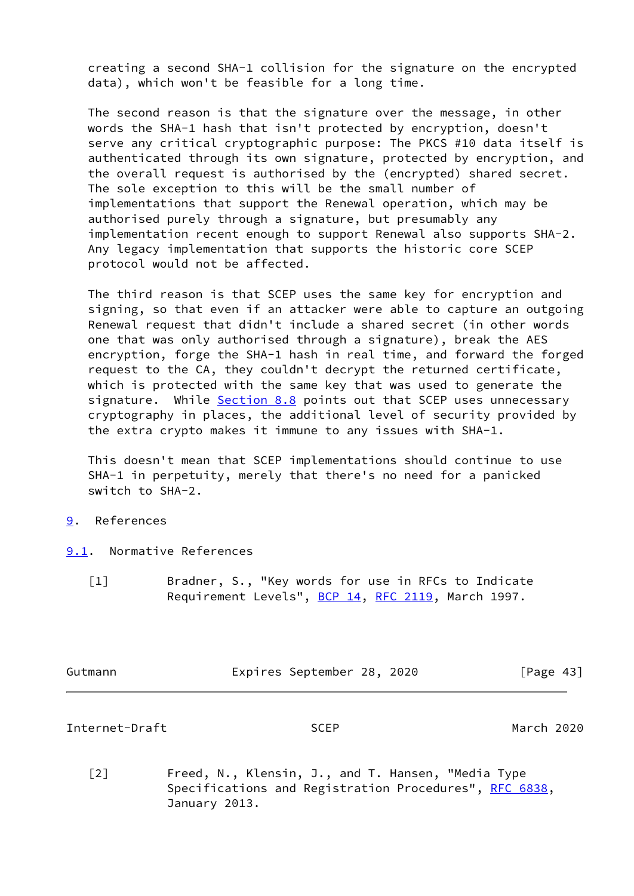creating a second SHA-1 collision for the signature on the encrypted data), which won't be feasible for a long time.

 The second reason is that the signature over the message, in other words the SHA-1 hash that isn't protected by encryption, doesn't serve any critical cryptographic purpose: The PKCS #10 data itself is authenticated through its own signature, protected by encryption, and the overall request is authorised by the (encrypted) shared secret. The sole exception to this will be the small number of implementations that support the Renewal operation, which may be authorised purely through a signature, but presumably any implementation recent enough to support Renewal also supports SHA-2. Any legacy implementation that supports the historic core SCEP protocol would not be affected.

 The third reason is that SCEP uses the same key for encryption and signing, so that even if an attacker were able to capture an outgoing Renewal request that didn't include a shared secret (in other words one that was only authorised through a signature), break the AES encryption, forge the SHA-1 hash in real time, and forward the forged request to the CA, they couldn't decrypt the returned certificate, which is protected with the same key that was used to generate the signature. While [Section 8.8](#page-47-1) points out that SCEP uses unnecessary cryptography in places, the additional level of security provided by the extra crypto makes it immune to any issues with SHA-1.

 This doesn't mean that SCEP implementations should continue to use SHA-1 in perpetuity, merely that there's no need for a panicked switch to SHA-2.

# <span id="page-48-0"></span>[9](#page-48-0). References

- <span id="page-48-2"></span><span id="page-48-1"></span>[9.1](#page-48-1). Normative References
	- [1] Bradner, S., "Key words for use in RFCs to Indicate Requirement Levels", [BCP 14](https://datatracker.ietf.org/doc/pdf/bcp14), [RFC 2119](https://datatracker.ietf.org/doc/pdf/rfc2119), March 1997.

| Gutmann | Expires September 28, 2020 |  |  | [Page 43] |
|---------|----------------------------|--|--|-----------|
|         |                            |  |  |           |

Internet-Draft SCEP March 2020

<span id="page-48-3"></span> [2] Freed, N., Klensin, J., and T. Hansen, "Media Type Specifications and Registration Procedures", [RFC 6838](https://datatracker.ietf.org/doc/pdf/rfc6838), January 2013.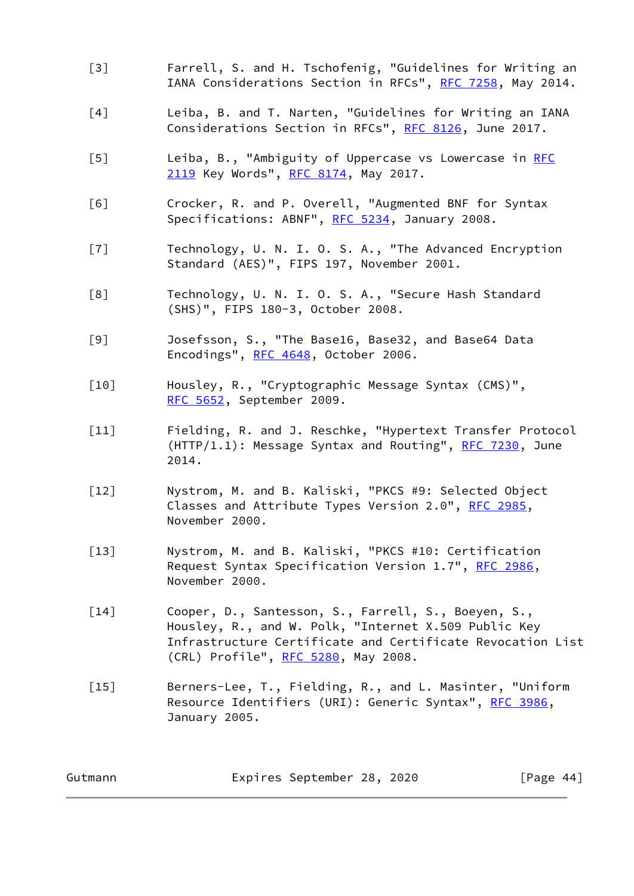- <span id="page-49-12"></span> [3] Farrell, S. and H. Tschofenig, "Guidelines for Writing an IANA Considerations Section in RFCs", [RFC 7258](https://datatracker.ietf.org/doc/pdf/rfc7258), May 2014.
- <span id="page-49-11"></span> [4] Leiba, B. and T. Narten, "Guidelines for Writing an IANA Considerations Section in RFCs", [RFC 8126,](https://datatracker.ietf.org/doc/pdf/rfc8126) June 2017.
- <span id="page-49-2"></span> [5] Leiba, B., "Ambiguity of Uppercase vs Lowercase in [RFC](https://datatracker.ietf.org/doc/pdf/rfc2119) [2119](https://datatracker.ietf.org/doc/pdf/rfc2119) Key Words", [RFC 8174,](https://datatracker.ietf.org/doc/pdf/rfc8174) May 2017.
- <span id="page-49-3"></span> [6] Crocker, R. and P. Overell, "Augmented BNF for Syntax Specifications: ABNF", [RFC 5234](https://datatracker.ietf.org/doc/pdf/rfc5234), January 2008.
- <span id="page-49-6"></span> [7] Technology, U. N. I. O. S. A., "The Advanced Encryption Standard (AES)", FIPS 197, November 2001.
- <span id="page-49-7"></span> [8] Technology, U. N. I. O. S. A., "Secure Hash Standard (SHS)", FIPS 180-3, October 2008.
- <span id="page-49-9"></span> [9] Josefsson, S., "The Base16, Base32, and Base64 Data Encodings", [RFC 4648,](https://datatracker.ietf.org/doc/pdf/rfc4648) October 2006.
- <span id="page-49-0"></span> [10] Housley, R., "Cryptographic Message Syntax (CMS)", [RFC 5652,](https://datatracker.ietf.org/doc/pdf/rfc5652) September 2009.
- <span id="page-49-8"></span> [11] Fielding, R. and J. Reschke, "Hypertext Transfer Protocol  $(HTTP/1.1): Message Syntax and Routing", RFC 7230, June$  $(HTTP/1.1): Message Syntax and Routing", RFC 7230, June$  $(HTTP/1.1): Message Syntax and Routing", RFC 7230, June$ 2014.
- <span id="page-49-4"></span> [12] Nystrom, M. and B. Kaliski, "PKCS #9: Selected Object Classes and Attribute Types Version 2.0", [RFC 2985](https://datatracker.ietf.org/doc/pdf/rfc2985), November 2000.
- <span id="page-49-1"></span> [13] Nystrom, M. and B. Kaliski, "PKCS #10: Certification Request Syntax Specification Version 1.7", [RFC 2986](https://datatracker.ietf.org/doc/pdf/rfc2986), November 2000.
- <span id="page-49-5"></span> [14] Cooper, D., Santesson, S., Farrell, S., Boeyen, S., Housley, R., and W. Polk, "Internet X.509 Public Key Infrastructure Certificate and Certificate Revocation List (CRL) Profile", [RFC 5280,](https://datatracker.ietf.org/doc/pdf/rfc5280) May 2008.
- <span id="page-49-10"></span>[15] Berners-Lee, T., Fielding, R., and L. Masinter, "Uniform Resource Identifiers (URI): Generic Syntax", [RFC 3986](https://datatracker.ietf.org/doc/pdf/rfc3986), January 2005.

| Gutmann |  | Expires September 28, 2020 |  |  | [Page 44] |  |  |
|---------|--|----------------------------|--|--|-----------|--|--|
|---------|--|----------------------------|--|--|-----------|--|--|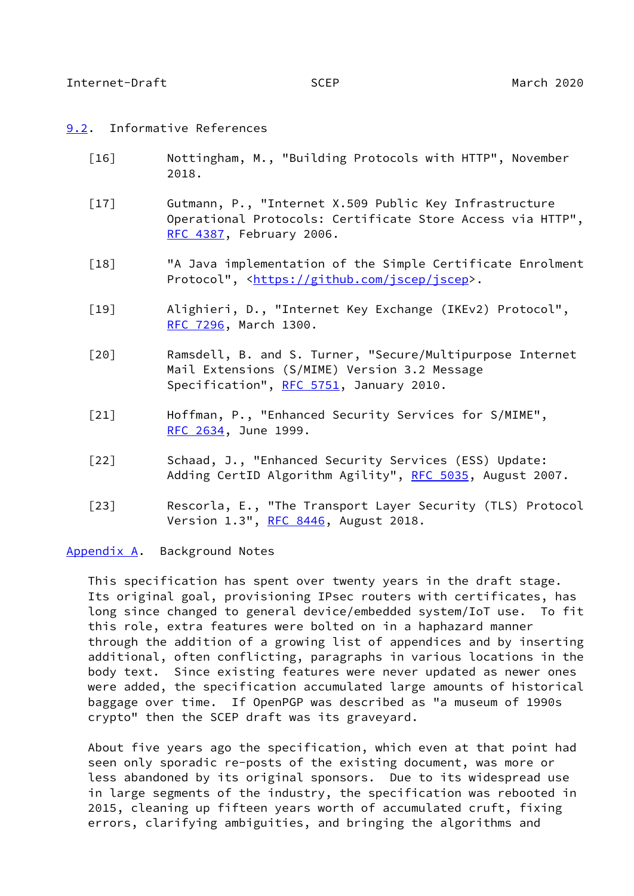### <span id="page-50-1"></span><span id="page-50-0"></span>[9.2](#page-50-0). Informative References

- <span id="page-50-8"></span> [16] Nottingham, M., "Building Protocols with HTTP", November 2018.
- <span id="page-50-6"></span> [17] Gutmann, P., "Internet X.509 Public Key Infrastructure Operational Protocols: Certificate Store Access via HTTP", [RFC 4387,](https://datatracker.ietf.org/doc/pdf/rfc4387) February 2006.
- <span id="page-50-7"></span> [18] "A Java implementation of the Simple Certificate Enrolment Protocol", <<https://github.com/jscep/jscep>>.
- <span id="page-50-5"></span> [19] Alighieri, D., "Internet Key Exchange (IKEv2) Protocol", [RFC 7296,](https://datatracker.ietf.org/doc/pdf/rfc7296) March 1300.
- <span id="page-50-4"></span> [20] Ramsdell, B. and S. Turner, "Secure/Multipurpose Internet Mail Extensions (S/MIME) Version 3.2 Message Specification", [RFC 5751,](https://datatracker.ietf.org/doc/pdf/rfc5751) January 2010.
- <span id="page-50-9"></span> [21] Hoffman, P., "Enhanced Security Services for S/MIME", [RFC 2634,](https://datatracker.ietf.org/doc/pdf/rfc2634) June 1999.
- <span id="page-50-10"></span> [22] Schaad, J., "Enhanced Security Services (ESS) Update: Adding CertID Algorithm Agility", [RFC 5035](https://datatracker.ietf.org/doc/pdf/rfc5035), August 2007.
- <span id="page-50-3"></span> [23] Rescorla, E., "The Transport Layer Security (TLS) Protocol Version 1.3", [RFC 8446](https://datatracker.ietf.org/doc/pdf/rfc8446), August 2018.

<span id="page-50-2"></span>[Appendix A.](#page-50-2) Background Notes

 This specification has spent over twenty years in the draft stage. Its original goal, provisioning IPsec routers with certificates, has long since changed to general device/embedded system/IoT use. To fit this role, extra features were bolted on in a haphazard manner through the addition of a growing list of appendices and by inserting additional, often conflicting, paragraphs in various locations in the body text. Since existing features were never updated as newer ones were added, the specification accumulated large amounts of historical baggage over time. If OpenPGP was described as "a museum of 1990s crypto" then the SCEP draft was its graveyard.

 About five years ago the specification, which even at that point had seen only sporadic re-posts of the existing document, was more or less abandoned by its original sponsors. Due to its widespread use in large segments of the industry, the specification was rebooted in 2015, cleaning up fifteen years worth of accumulated cruft, fixing errors, clarifying ambiguities, and bringing the algorithms and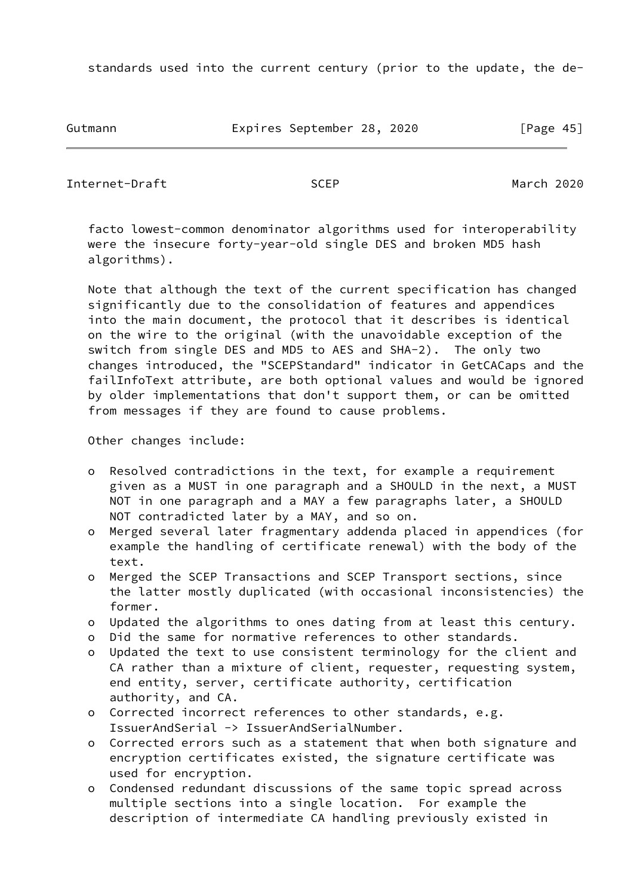standards used into the current century (prior to the update, the de-

Gutmann Expires September 28, 2020 [Page 45]

Internet-Draft SCEP March 2020

 facto lowest-common denominator algorithms used for interoperability were the insecure forty-year-old single DES and broken MD5 hash algorithms).

 Note that although the text of the current specification has changed significantly due to the consolidation of features and appendices into the main document, the protocol that it describes is identical on the wire to the original (with the unavoidable exception of the switch from single DES and MD5 to AES and SHA-2). The only two changes introduced, the "SCEPStandard" indicator in GetCACaps and the failInfoText attribute, are both optional values and would be ignored by older implementations that don't support them, or can be omitted from messages if they are found to cause problems.

Other changes include:

- o Resolved contradictions in the text, for example a requirement given as a MUST in one paragraph and a SHOULD in the next, a MUST NOT in one paragraph and a MAY a few paragraphs later, a SHOULD NOT contradicted later by a MAY, and so on.
- o Merged several later fragmentary addenda placed in appendices (for example the handling of certificate renewal) with the body of the text.
- o Merged the SCEP Transactions and SCEP Transport sections, since the latter mostly duplicated (with occasional inconsistencies) the former.
- o Updated the algorithms to ones dating from at least this century.
- o Did the same for normative references to other standards.
- o Updated the text to use consistent terminology for the client and CA rather than a mixture of client, requester, requesting system, end entity, server, certificate authority, certification authority, and CA.
- o Corrected incorrect references to other standards, e.g. IssuerAndSerial -> IssuerAndSerialNumber.
- o Corrected errors such as a statement that when both signature and encryption certificates existed, the signature certificate was used for encryption.
- o Condensed redundant discussions of the same topic spread across multiple sections into a single location. For example the description of intermediate CA handling previously existed in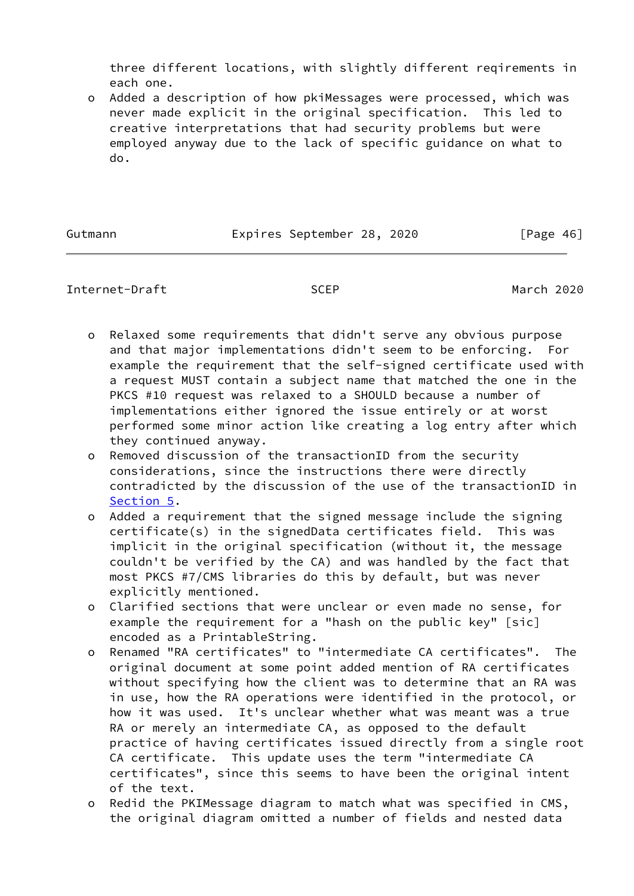three different locations, with slightly different reqirements in each one.

 o Added a description of how pkiMessages were processed, which was never made explicit in the original specification. This led to creative interpretations that had security problems but were employed anyway due to the lack of specific guidance on what to do.

Gutmann **Expires September 28, 2020** [Page 46]

# Internet-Draft SCEP March 2020

- o Relaxed some requirements that didn't serve any obvious purpose and that major implementations didn't seem to be enforcing. For example the requirement that the self-signed certificate used with a request MUST contain a subject name that matched the one in the PKCS #10 request was relaxed to a SHOULD because a number of implementations either ignored the issue entirely or at worst performed some minor action like creating a log entry after which they continued anyway.
- o Removed discussion of the transactionID from the security considerations, since the instructions there were directly contradicted by the discussion of the use of the transactionID in [Section 5.](#page-33-1)
- o Added a requirement that the signed message include the signing certificate(s) in the signedData certificates field. This was implicit in the original specification (without it, the message couldn't be verified by the CA) and was handled by the fact that most PKCS #7/CMS libraries do this by default, but was never explicitly mentioned.
- o Clarified sections that were unclear or even made no sense, for example the requirement for a "hash on the public key" [sic] encoded as a PrintableString.
- o Renamed "RA certificates" to "intermediate CA certificates". The original document at some point added mention of RA certificates without specifying how the client was to determine that an RA was in use, how the RA operations were identified in the protocol, or how it was used. It's unclear whether what was meant was a true RA or merely an intermediate CA, as opposed to the default practice of having certificates issued directly from a single root CA certificate. This update uses the term "intermediate CA certificates", since this seems to have been the original intent of the text.
- o Redid the PKIMessage diagram to match what was specified in CMS, the original diagram omitted a number of fields and nested data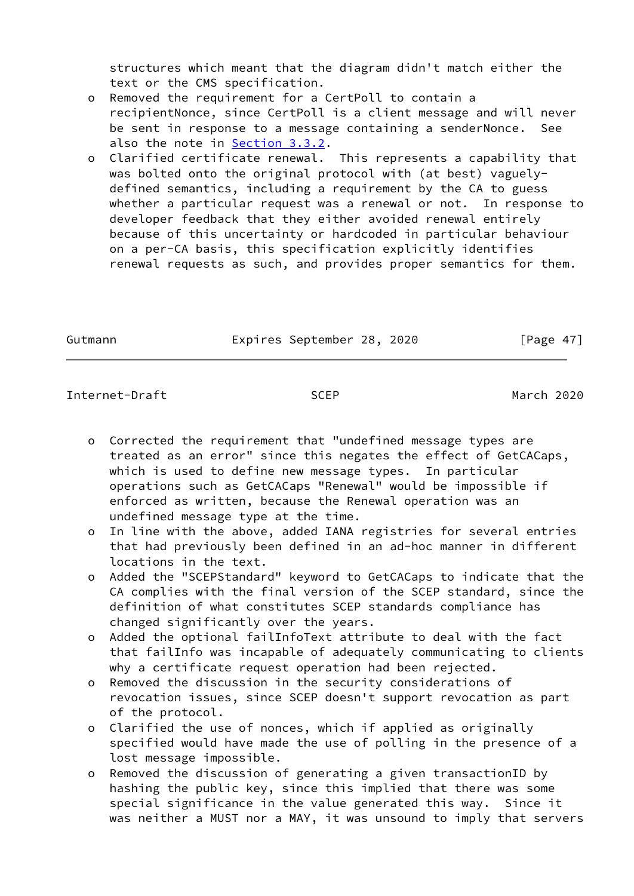structures which meant that the diagram didn't match either the text or the CMS specification.

- o Removed the requirement for a CertPoll to contain a recipientNonce, since CertPoll is a client message and will never be sent in response to a message containing a senderNonce. See also the note in [Section 3.3.2.](#page-21-0)
- o Clarified certificate renewal. This represents a capability that was bolted onto the original protocol with (at best) vaguely defined semantics, including a requirement by the CA to guess whether a particular request was a renewal or not. In response to developer feedback that they either avoided renewal entirely because of this uncertainty or hardcoded in particular behaviour on a per-CA basis, this specification explicitly identifies renewal requests as such, and provides proper semantics for them.

|  | Gutmann |
|--|---------|
|--|---------|

Expires September 28, 2020 [Page 47]

### <span id="page-53-0"></span>Internet-Draft SCEP March 2020

- o Corrected the requirement that "undefined message types are treated as an error" since this negates the effect of GetCACaps, which is used to define new message types. In particular operations such as GetCACaps "Renewal" would be impossible if enforced as written, because the Renewal operation was an undefined message type at the time.
- o In line with the above, added IANA registries for several entries that had previously been defined in an ad-hoc manner in different locations in the text.
- o Added the "SCEPStandard" keyword to GetCACaps to indicate that the CA complies with the final version of the SCEP standard, since the definition of what constitutes SCEP standards compliance has changed significantly over the years.
- o Added the optional failInfoText attribute to deal with the fact that failInfo was incapable of adequately communicating to clients why a certificate request operation had been rejected.
- o Removed the discussion in the security considerations of revocation issues, since SCEP doesn't support revocation as part of the protocol.
- o Clarified the use of nonces, which if applied as originally specified would have made the use of polling in the presence of a lost message impossible.
- o Removed the discussion of generating a given transactionID by hashing the public key, since this implied that there was some special significance in the value generated this way. Since it was neither a MUST nor a MAY, it was unsound to imply that servers